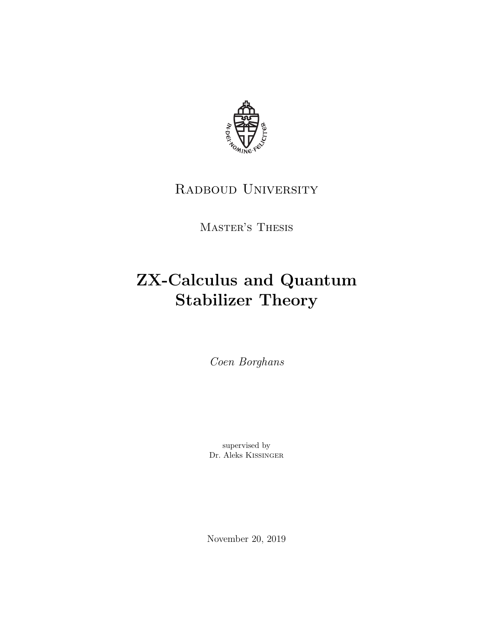

## RADBOUD UNIVERSITY

Master's Thesis

# ZX-Calculus and Quantum Stabilizer Theory

Coen Borghans

supervised by Dr. Aleks Kissinger

November 20, 2019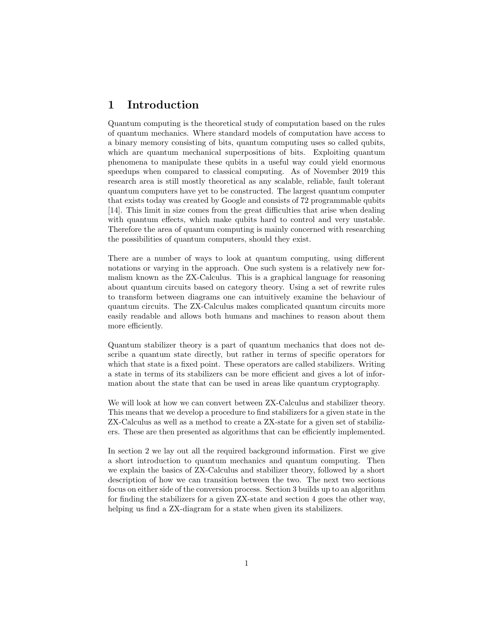### 1 Introduction

Quantum computing is the theoretical study of computation based on the rules of quantum mechanics. Where standard models of computation have access to a binary memory consisting of bits, quantum computing uses so called qubits, which are quantum mechanical superpositions of bits. Exploiting quantum phenomena to manipulate these qubits in a useful way could yield enormous speedups when compared to classical computing. As of November 2019 this research area is still mostly theoretical as any scalable, reliable, fault tolerant quantum computers have yet to be constructed. The largest quantum computer that exists today was created by Google and consists of 72 programmable qubits [14]. This limit in size comes from the great difficulties that arise when dealing with quantum effects, which make qubits hard to control and very unstable. Therefore the area of quantum computing is mainly concerned with researching the possibilities of quantum computers, should they exist.

There are a number of ways to look at quantum computing, using different notations or varying in the approach. One such system is a relatively new formalism known as the ZX-Calculus. This is a graphical language for reasoning about quantum circuits based on category theory. Using a set of rewrite rules to transform between diagrams one can intuitively examine the behaviour of quantum circuits. The ZX-Calculus makes complicated quantum circuits more easily readable and allows both humans and machines to reason about them more efficiently.

Quantum stabilizer theory is a part of quantum mechanics that does not describe a quantum state directly, but rather in terms of specific operators for which that state is a fixed point. These operators are called stabilizers. Writing a state in terms of its stabilizers can be more efficient and gives a lot of information about the state that can be used in areas like quantum cryptography.

We will look at how we can convert between ZX-Calculus and stabilizer theory. This means that we develop a procedure to find stabilizers for a given state in the ZX-Calculus as well as a method to create a ZX-state for a given set of stabilizers. These are then presented as algorithms that can be efficiently implemented.

In section 2 we lay out all the required background information. First we give a short introduction to quantum mechanics and quantum computing. Then we explain the basics of ZX-Calculus and stabilizer theory, followed by a short description of how we can transition between the two. The next two sections focus on either side of the conversion process. Section 3 builds up to an algorithm for finding the stabilizers for a given ZX-state and section 4 goes the other way, helping us find a ZX-diagram for a state when given its stabilizers.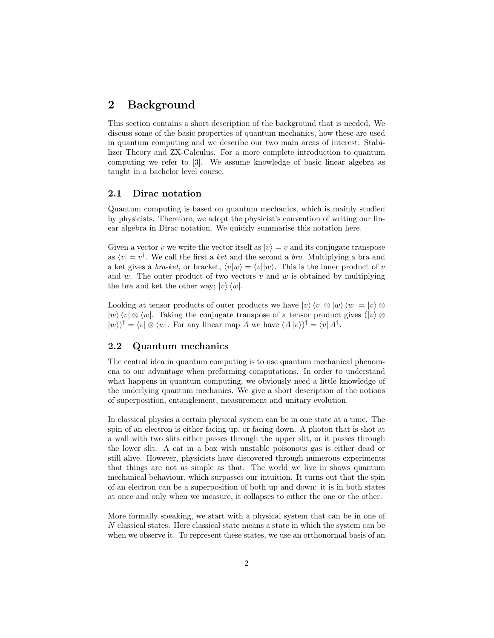## 2 Background

This section contains a short description of the background that is needed. We discuss some of the basic properties of quantum mechanics, how these are used in quantum computing and we describe our two main areas of interest: Stabilizer Theory and ZX-Calculus. For a more complete introduction to quantum computing we refer to [3]. We assume knowledge of basic linear algebra as taught in a bachelor level course.

#### 2.1 Dirac notation

Quantum computing is based on quantum mechanics, which is mainly studied by physicists. Therefore, we adopt the physicist's convention of writing our linear algebra in Dirac notation. We quickly summarise this notation here.

Given a vector v we write the vector itself as  $|v\rangle = v$  and its conjugate transpose as  $\langle v | = v^{\dagger}$ . We call the first a ket and the second a bra. Multiplying a bra and a ket gives a *bra-ket*, or bracket,  $\langle v|w \rangle = \langle v||w \rangle$ . This is the inner product of v and w. The outer product of two vectors v and w is obtained by multiplying the bra and ket the other way;  $|v\rangle \langle w|$ .

Looking at tensor products of outer products we have  $|v\rangle\langle v|\otimes|w\rangle\langle w| = |v\rangle\otimes w$  $|w\rangle\langle v|\otimes\langle w|$ . Taking the conjugate transpose of a tensor product gives  $(|v\rangle\otimes$  $|w\rangle$ <sup>†</sup> =  $\langle v|\otimes \langle w|$ . For any linear map A we have  $(A|v\rangle)^{\dagger} = \langle v|A^{\dagger}$ .

#### 2.2 Quantum mechanics

The central idea in quantum computing is to use quantum mechanical phenomena to our advantage when preforming computations. In order to understand what happens in quantum computing, we obviously need a little knowledge of the underlying quantum mechanics. We give a short description of the notions of superposition, entanglement, measurement and unitary evolution.

In classical physics a certain physical system can be in one state at a time. The spin of an electron is either facing up, or facing down. A photon that is shot at a wall with two slits either passes through the upper slit, or it passes through the lower slit. A cat in a box with unstable poisonous gas is either dead or still alive. However, physicists have discovered through numerous experiments that things are not as simple as that. The world we live in shows quantum mechanical behaviour, which surpasses our intuition. It turns out that the spin of an electron can be a superposition of both up and down: it is in both states at once and only when we measure, it collapses to either the one or the other.

More formally speaking, we start with a physical system that can be in one of N classical states. Here classical state means a state in which the system can be when we observe it. To represent these states, we use an orthonormal basis of an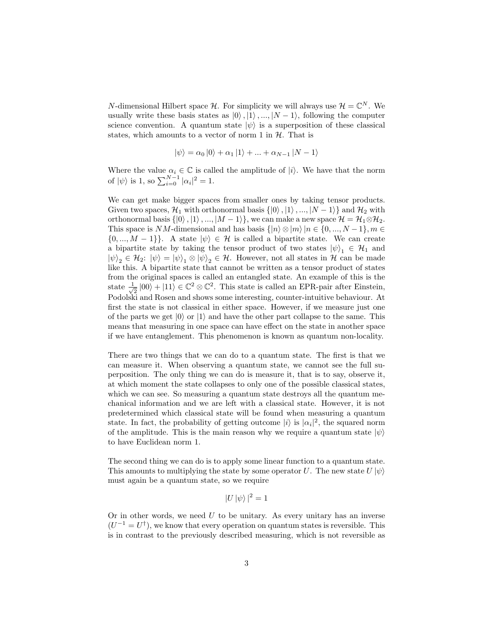N-dimensional Hilbert space H. For simplicity we will always use  $\mathcal{H} = \mathbb{C}^N$ . We usually write these basis states as  $|0\rangle, |1\rangle, ..., |N-1\rangle$ , following the computer science convention. A quantum state  $|\psi\rangle$  is a superposition of these classical states, which amounts to a vector of norm 1 in  $H$ . That is

$$
|\psi\rangle = \alpha_0 |0\rangle + \alpha_1 |1\rangle + \dots + \alpha_{N-1} |N-1\rangle
$$

Where the value  $\alpha_i \in \mathbb{C}$  is called the amplitude of  $|i\rangle$ . We have that the norm of  $|\psi\rangle$  is 1, so  $\sum_{i=0}^{N-1} |\alpha_i|^2 = 1$ .

We can get make bigger spaces from smaller ones by taking tensor products. Given two spaces,  $\mathcal{H}_1$  with orthonormal basis  $\{|0\rangle, |1\rangle, ..., |N-1\rangle\}$  and  $\mathcal{H}_2$  with orthonormal basis  $\{|0\rangle, |1\rangle, ..., |M-1\rangle\}$ , we can make a new space  $\mathcal{H} = \mathcal{H}_1 \otimes \mathcal{H}_2$ . This space is NM-dimensional and has basis  $\{|n\rangle \otimes |m\rangle |n \in \{0, ..., N-1\}, m \in$  $\{0, ..., M-1\}\}.$  A state  $|\psi\rangle \in \mathcal{H}$  is called a bipartite state. We can create a bipartite state by taking the tensor product of two states  $|\psi\rangle_1 \in \mathcal{H}_1$  and  $|\psi\rangle_2 \in \mathcal{H}_2$ :  $|\psi\rangle = |\psi\rangle_1 \otimes |\psi\rangle_2 \in \mathcal{H}$ . However, not all states in  $\mathcal{H}$  can be made like this. A bipartite state that cannot be written as a tensor product of states from the original spaces is called an entangled state. An example of this is the state  $\frac{1}{4}$  $\frac{1}{2}$  |00) + |11)  $\in \mathbb{C}^2 \otimes \mathbb{C}^2$ . This state is called an EPR-pair after Einstein, Podolski and Rosen and shows some interesting, counter-intuitive behaviour. At first the state is not classical in either space. However, if we measure just one of the parts we get  $|0\rangle$  or  $|1\rangle$  and have the other part collapse to the same. This means that measuring in one space can have effect on the state in another space if we have entanglement. This phenomenon is known as quantum non-locality.

There are two things that we can do to a quantum state. The first is that we can measure it. When observing a quantum state, we cannot see the full superposition. The only thing we can do is measure it, that is to say, observe it, at which moment the state collapses to only one of the possible classical states, which we can see. So measuring a quantum state destroys all the quantum mechanical information and we are left with a classical state. However, it is not predetermined which classical state will be found when measuring a quantum state. In fact, the probability of getting outcome  $|i\rangle$  is  $|\alpha_i|^2$ , the squared norm of the amplitude. This is the main reason why we require a quantum state  $|\psi\rangle$ to have Euclidean norm 1.

The second thing we can do is to apply some linear function to a quantum state. This amounts to multiplying the state by some operator U. The new state  $U|\psi\rangle$ must again be a quantum state, so we require

$$
|U|\psi\rangle|^2 = 1
$$

Or in other words, we need  $U$  to be unitary. As every unitary has an inverse  $(U^{-1} = U^{\dagger})$ , we know that every operation on quantum states is reversible. This is in contrast to the previously described measuring, which is not reversible as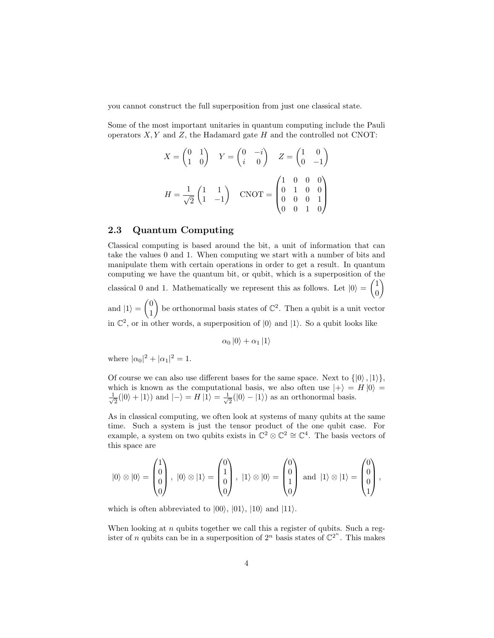you cannot construct the full superposition from just one classical state.

Some of the most important unitaries in quantum computing include the Pauli operators  $X, Y$  and  $Z$ , the Hadamard gate  $H$  and the controlled not CNOT:

$$
X = \begin{pmatrix} 0 & 1 \\ 1 & 0 \end{pmatrix} \quad Y = \begin{pmatrix} 0 & -i \\ i & 0 \end{pmatrix} \quad Z = \begin{pmatrix} 1 & 0 \\ 0 & -1 \end{pmatrix}
$$

$$
H = \frac{1}{\sqrt{2}} \begin{pmatrix} 1 & 1 \\ 1 & -1 \end{pmatrix} \quad \text{CNOT} = \begin{pmatrix} 1 & 0 & 0 & 0 \\ 0 & 1 & 0 & 0 \\ 0 & 0 & 0 & 1 \\ 0 & 0 & 1 & 0 \end{pmatrix}
$$

#### 2.3 Quantum Computing

Classical computing is based around the bit, a unit of information that can take the values 0 and 1. When computing we start with a number of bits and manipulate them with certain operations in order to get a result. In quantum computing we have the quantum bit, or qubit, which is a superposition of the  $\setminus$ 

classical 0 and 1. Mathematically we represent this as follows. Let  $|0\rangle = \begin{pmatrix} 1 & 0 \\ 0 & 1 \end{pmatrix}$ 

and  $|1\rangle = \begin{pmatrix} 0 \\ 1 \end{pmatrix}$ 1 ) be orthonormal basis states of  $\mathbb{C}^2$ . Then a qubit is a unit vector in  $\mathbb{C}^2$ , or in other words, a superposition of  $|0\rangle$  and  $|1\rangle$ . So a qubit looks like

0

$$
\alpha_0\ket{0} + \alpha_1\ket{1}
$$

where  $|\alpha_0|^2 + |\alpha_1|^2 = 1$ .

Of course we can also use different bases for the same space. Next to  $\{|0\rangle, |1\rangle\},\$ which is known as the computational basis, we also often use  $|+\rangle = H |0\rangle =$  $\frac{1}{2}$  $\frac{1}{2}(|0\rangle + |1\rangle)$  and  $|-\rangle = H |1\rangle = \frac{1}{\sqrt{2}}$  $\overline{z}$ (|0) – |1)) as an orthonormal basis.

As in classical computing, we often look at systems of many qubits at the same time. Such a system is just the tensor product of the one qubit case. For example, a system on two qubits exists in  $\mathbb{C}^2 \otimes \mathbb{C}^2 \cong \mathbb{C}^4$ . The basis vectors of this space are

$$
|0\rangle \otimes |0\rangle = \begin{pmatrix} 1 \\ 0 \\ 0 \\ 0 \end{pmatrix}, |0\rangle \otimes |1\rangle = \begin{pmatrix} 0 \\ 1 \\ 0 \\ 0 \end{pmatrix}, |1\rangle \otimes |0\rangle = \begin{pmatrix} 0 \\ 0 \\ 1 \\ 0 \end{pmatrix} \text{ and } |1\rangle \otimes |1\rangle = \begin{pmatrix} 0 \\ 0 \\ 0 \\ 1 \end{pmatrix},
$$

which is often abbreviated to  $|00\rangle$ ,  $|01\rangle$ ,  $|10\rangle$  and  $|11\rangle$ .

When looking at  $n$  qubits together we call this a register of qubits. Such a register of n qubits can be in a superposition of  $2^n$  basis states of  $\mathbb{C}^{2^n}$ . This makes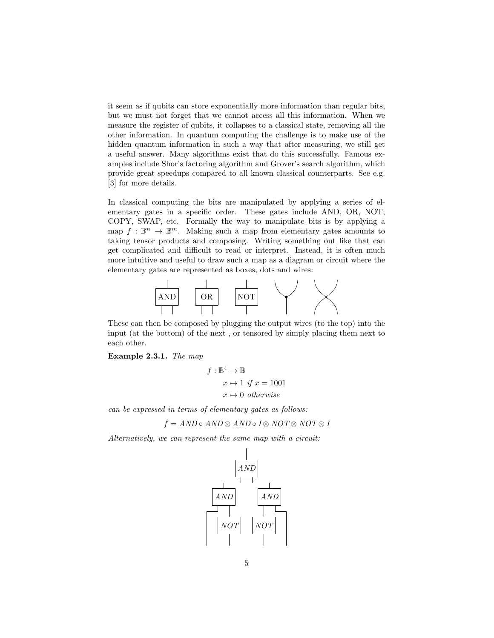it seem as if qubits can store exponentially more information than regular bits, but we must not forget that we cannot access all this information. When we measure the register of qubits, it collapses to a classical state, removing all the other information. In quantum computing the challenge is to make use of the hidden quantum information in such a way that after measuring, we still get a useful answer. Many algorithms exist that do this successfully. Famous examples include Shor's factoring algorithm and Grover's search algorithm, which provide great speedups compared to all known classical counterparts. See e.g. [3] for more details.

In classical computing the bits are manipulated by applying a series of elementary gates in a specific order. These gates include AND, OR, NOT, COPY, SWAP, etc. Formally the way to manipulate bits is by applying a map  $f : \mathbb{B}^n \to \mathbb{B}^m$ . Making such a map from elementary gates amounts to taking tensor products and composing. Writing something out like that can get complicated and difficult to read or interpret. Instead, it is often much more intuitive and useful to draw such a map as a diagram or circuit where the elementary gates are represented as boxes, dots and wires:



These can then be composed by plugging the output wires (to the top) into the input (at the bottom) of the next , or tensored by simply placing them next to each other.

Example 2.3.1. The map

$$
f: \mathbb{B}^4 \to \mathbb{B}
$$
  

$$
x \mapsto 1 \text{ if } x = 1001
$$
  

$$
x \mapsto 0 \text{ otherwise}
$$

can be expressed in terms of elementary gates as follows:

$$
f = AND \circ AND \otimes AND \circ I \otimes NOT \otimes NOT \otimes I
$$

Alternatively, we can represent the same map with a circuit:

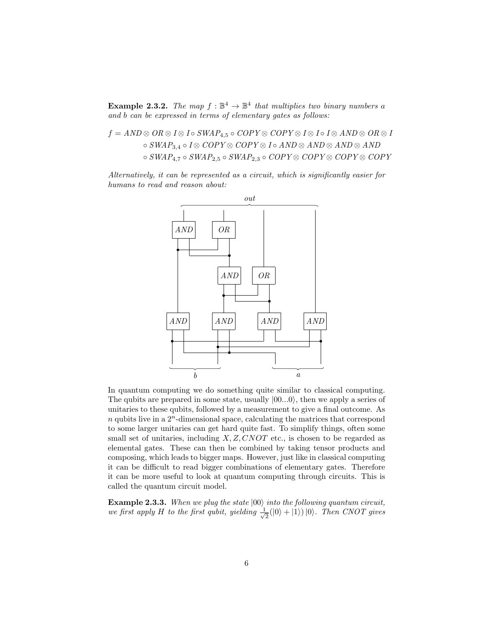**Example 2.3.2.** The map  $f : \mathbb{B}^4 \to \mathbb{B}^4$  that multiplies two binary numbers a and b can be expressed in terms of elementary gates as follows:

$$
f = AND \otimes OR \otimes I \otimes I \circ SWAP_{4,5} \circ COPY \otimes COPY \otimes I \otimes I \circ I \otimes AND \otimes OR \otimes I
$$
  
\n
$$
\circ SWAP_{3,4} \circ I \otimes COPY \otimes COPY \otimes I \circ AND \otimes AND \otimes AND \otimes AND
$$
  
\n
$$
\circ SWAP_{4,7} \circ SWAP_{2,5} \circ SWAP_{2,3} \circ COPY \otimes COPY \otimes COPY \otimes COPY
$$

Alternatively, it can be represented as a circuit, which is significantly easier for humans to read and reason about:



In quantum computing we do something quite similar to classical computing. The qubits are prepared in some state, usually  $|00...0\rangle$ , then we apply a series of unitaries to these qubits, followed by a measurement to give a final outcome. As  $n$  qubits live in a  $2<sup>n</sup>$ -dimensional space, calculating the matrices that correspond to some larger unitaries can get hard quite fast. To simplify things, often some small set of unitaries, including  $X, Z, CNOT$  etc., is chosen to be regarded as elemental gates. These can then be combined by taking tensor products and composing, which leads to bigger maps. However, just like in classical computing it can be difficult to read bigger combinations of elementary gates. Therefore it can be more useful to look at quantum computing through circuits. This is called the quantum circuit model.

Example 2.3.3. When we plug the state  $|00\rangle$  into the following quantum circuit, we first apply H to the first qubit, yielding  $\frac{1}{\sqrt{2}}$  $\frac{1}{2}(|0\rangle + |1\rangle)|0\rangle$ . Then CNOT gives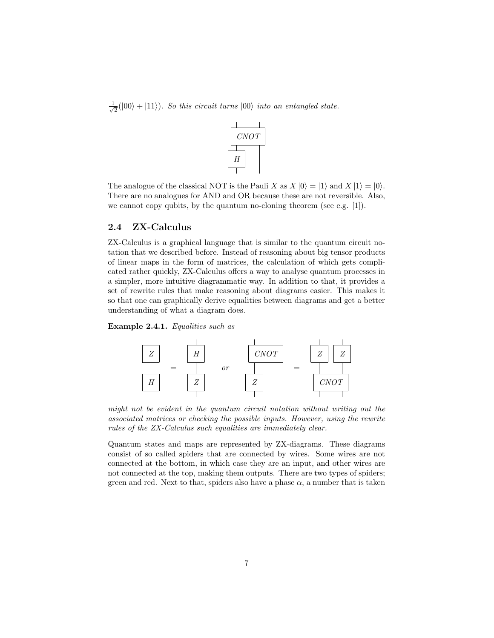$\frac{1}{\sqrt{2}}$  $\frac{1}{2}(|00\rangle + |11\rangle)$ . So this circuit turns  $|00\rangle$  into an entangled state.



The analogue of the classical NOT is the Pauli X as  $X |0\rangle = |1\rangle$  and  $X |1\rangle = |0\rangle$ . There are no analogues for AND and OR because these are not reversible. Also, we cannot copy qubits, by the quantum no-cloning theorem (see e.g. [1]).

#### 2.4 ZX-Calculus

ZX-Calculus is a graphical language that is similar to the quantum circuit notation that we described before. Instead of reasoning about big tensor products of linear maps in the form of matrices, the calculation of which gets complicated rather quickly, ZX-Calculus offers a way to analyse quantum processes in a simpler, more intuitive diagrammatic way. In addition to that, it provides a set of rewrite rules that make reasoning about diagrams easier. This makes it so that one can graphically derive equalities between diagrams and get a better understanding of what a diagram does.

Example 2.4.1. Equalities such as



might not be evident in the quantum circuit notation without writing out the associated matrices or checking the possible inputs. However, using the rewrite rules of the ZX-Calculus such equalities are immediately clear.

Quantum states and maps are represented by ZX-diagrams. These diagrams consist of so called spiders that are connected by wires. Some wires are not connected at the bottom, in which case they are an input, and other wires are not connected at the top, making them outputs. There are two types of spiders; green and red. Next to that, spiders also have a phase  $\alpha$ , a number that is taken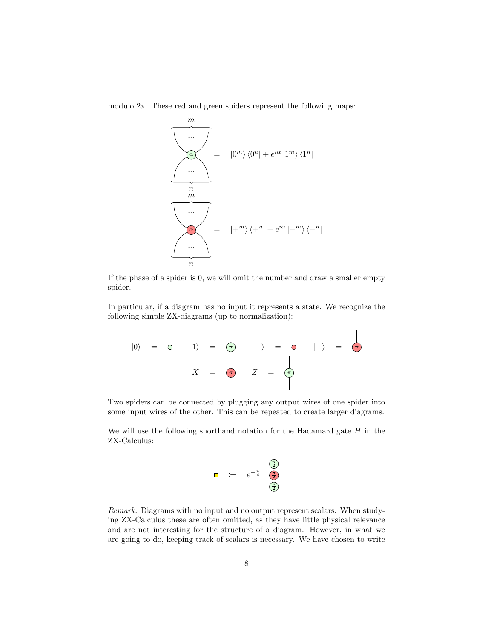



If the phase of a spider is 0, we will omit the number and draw a smaller empty spider.

In particular, if a diagram has no input it represents a state. We recognize the following simple ZX-diagrams (up to normalization):

$$
|0\rangle = \begin{vmatrix} |1\rangle = \begin{vmatrix} \frac{1}{2} & |+ \rangle = \begin{vmatrix} \frac{1}{2} & |+ \rangle = \begin{vmatrix} \frac{1}{2} & |+ \rangle = \frac{1}{2} \end{vmatrix} \end{vmatrix}
$$

Two spiders can be connected by plugging any output wires of one spider into some input wires of the other. This can be repeated to create larger diagrams.

We will use the following shorthand notation for the Hadamard gate  $H$  in the ZX-Calculus:

$$
\begin{array}{|c|c|}\n\hline\n\vdots & e^{-\frac{\pi}{4}} & \underbrace{\left(\frac{\pi}{2}\right)}_{\text{max}} \\
\hline\n\end{array}
$$

Remark. Diagrams with no input and no output represent scalars. When studying ZX-Calculus these are often omitted, as they have little physical relevance and are not interesting for the structure of a diagram. However, in what we are going to do, keeping track of scalars is necessary. We have chosen to write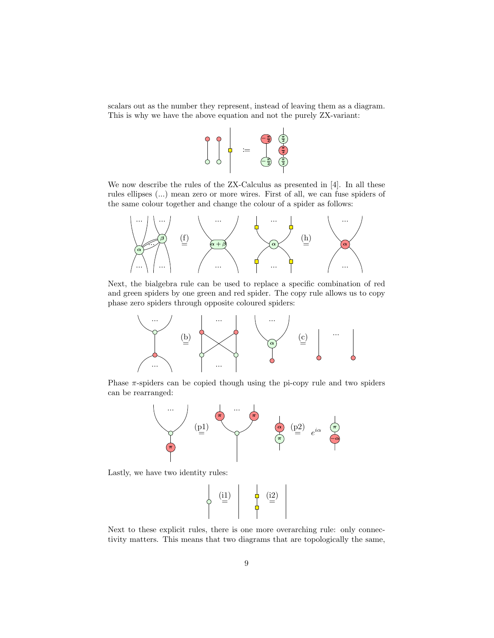scalars out as the number they represent, instead of leaving them as a diagram. This is why we have the above equation and not the purely ZX-variant:



We now describe the rules of the ZX-Calculus as presented in [4]. In all these rules ellipses (...) mean zero or more wires. First of all, we can fuse spiders of the same colour together and change the colour of a spider as follows:



Next, the bialgebra rule can be used to replace a specific combination of red and green spiders by one green and red spider. The copy rule allows us to copy phase zero spiders through opposite coloured spiders:



Phase  $\pi$ -spiders can be copied though using the pi-copy rule and two spiders can be rearranged:



Lastly, we have two identity rules:



Next to these explicit rules, there is one more overarching rule: only connectivity matters. This means that two diagrams that are topologically the same,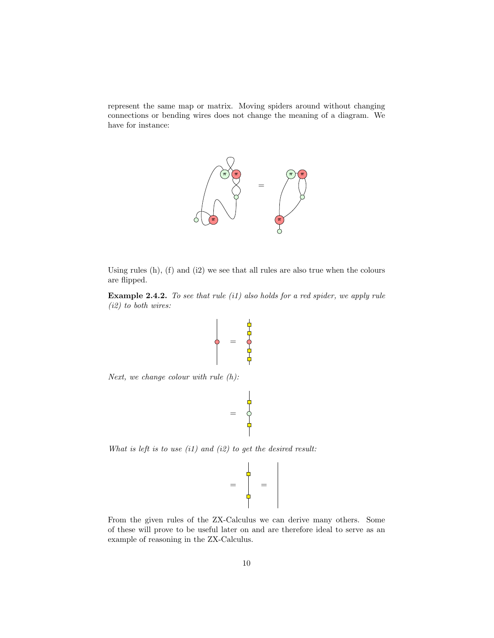represent the same map or matrix. Moving spiders around without changing connections or bending wires does not change the meaning of a diagram. We have for instance:



Using rules (h), (f) and (i2) we see that all rules are also true when the colours are flipped.

Example 2.4.2. To see that rule (i1) also holds for a red spider, we apply rule (i2) to both wires:

$$
\begin{pmatrix}\n\frac{1}{2} & \frac{1}{2} \\
\frac{1}{2} & \frac{1}{2} \\
\frac{1}{2} & \frac{1}{2}\n\end{pmatrix}
$$

Next, we change colour with rule  $(h)$ :

$$
\begin{array}{c}\n\phantom{\phantom{\overline{\overline{2}}}} \\
\phantom{\overline{\overline{2}}}\n\\ \phantom{\overline{\overline{2}}}\n\\ \phantom{\overline{\overline{2}}}\n\\ \phantom{\overline{\overline{2}}}\n\\ \phantom{\overline{\overline{2}}}\n\\ \phantom{\overline{\overline{2}}}\n\\ \phantom{\overline{\overline{2}}}\n\\ \phantom{\overline{\overline{2}}}\n\\ \phantom{\overline{\overline{2}}}\n\\ \phantom{\overline{\overline{2}}}\n\\ \phantom{\overline{\overline{2}}}\n\\ \phantom{\overline{\overline{2}}}\n\\ \phantom{\overline{\overline{2}}}\n\\ \phantom{\overline{\overline{2}}}\n\\ \phantom{\overline{\overline{2}}}\n\\ \phantom{\overline{\overline{2}}}\n\\ \phantom{\overline{\overline{2}}}\n\\ \phantom{\overline{\overline{2}}}\n\\ \phantom{\overline{\overline{2}}}\n\\ \phantom{\overline{\overline{2}}}\n\\ \phantom{\overline{\overline{2}}}\n\\ \phantom{\overline{\overline{2}}}\n\\ \phantom{\overline{\overline{2}}}\n\\ \phantom{\overline{\overline{2}}}\n\\ \phantom{\overline{\overline{2}}}\n\\ \phantom{\overline{\overline{2}}}\n\\ \phantom{\overline{\overline{2}}}\n\\ \phantom{\overline{\overline{2}}}\n\\ \phantom{\overline{\overline{2}}}\n\\ \phantom{\overline{\overline{2}}}\n\\ \phantom{\overline{\overline{2}}}\n\\ \phantom{\overline{\overline{2}}}\n\\ \phantom{\overline{\overline{2}}}\n\\ \phantom{\overline{\overline{2}}}\n\\ \phantom{\overline{\overline{2}}}\n\\ \phantom{\overline{\overline{2}}}\n\\ \phantom{\overline{\overline{2}}}\n\\ \phantom{\overline{\overline{2}}}\n\\ \phantom{\overline{\overline{2}}}\n\\ \phantom{\overline{\overline{2}}}\n\\ \phantom{\overline{\overline{2}}}\n\\ \phantom{\overline{\overline{2}}}\n\\ \phantom{\overline{\overline{2}}}\n\\ \phantom{\overline{\overline{2}}}\n\\ \phantom{\overline{\overline{2}}}\n\\ \phantom{\overline{\overline{2}}}\n\\ \phantom{\overline{\overline{2}}}\n\\ \phantom{\overline{\overline{2}}}\n\\ \phantom{\overline{\overline{2}}}\n\\
$$

What is left is to use  $(i1)$  and  $(i2)$  to get the desired result:

$$
= \begin{pmatrix} 1 \\ 0 \\ 0 \\ 0 \end{pmatrix} =
$$

From the given rules of the ZX-Calculus we can derive many others. Some of these will prove to be useful later on and are therefore ideal to serve as an example of reasoning in the ZX-Calculus.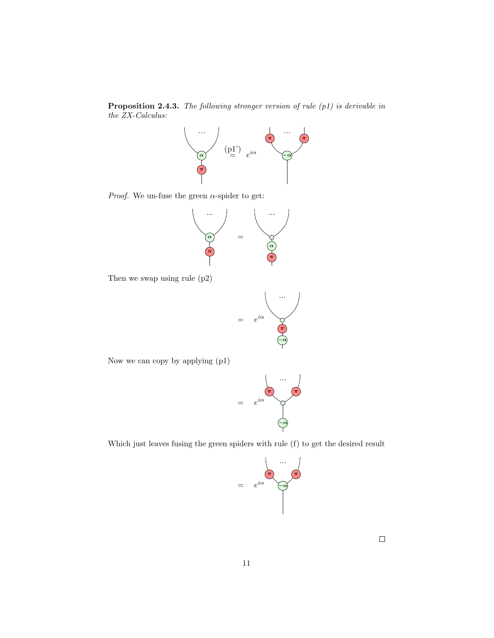Proposition 2.4.3. The following stronger version of rule (p1) is derivable in the ZX-Calculus:



*Proof.* We un-fuse the green  $\alpha$ -spider to get:



Then we swap using rule (p2)



Now we can copy by applying (p1)



Which just leaves fusing the green spiders with rule (f) to get the desired result

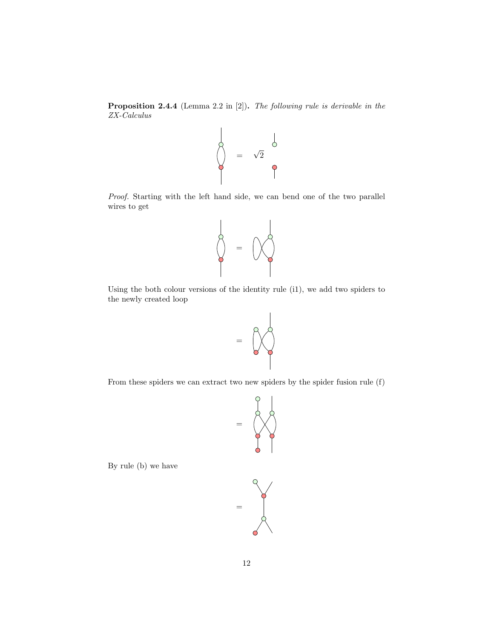Proposition 2.4.4 (Lemma 2.2 in [2]). The following rule is derivable in the ZX-Calculus



Proof. Starting with the left hand side, we can bend one of the two parallel wires to get



Using the both colour versions of the identity rule (i1), we add two spiders to the newly created loop



From these spiders we can extract two new spiders by the spider fusion rule (f)



By rule (b) we have

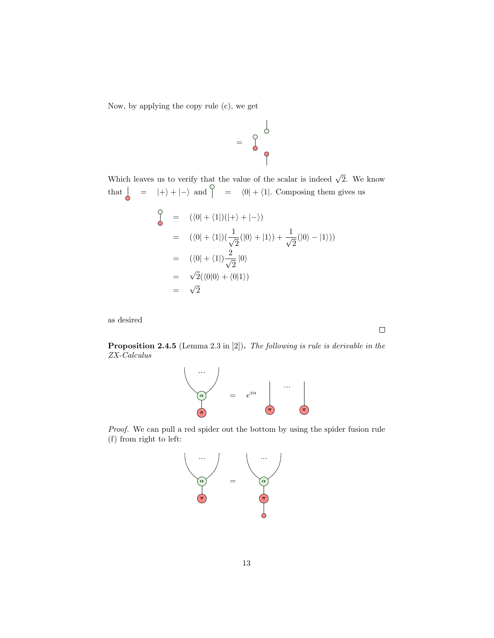Now, by applying the copy rule (c), we get

$$
= \begin{array}{c}\n0 \\
0 \\
0\n\end{array}
$$

Which leaves us to verify that the value of the scalar is indeed  $\sqrt{2}$ . We know that  $\begin{vmatrix} 1 & -1 \\ 0 & -1 \end{vmatrix}$  + |-i and  $\begin{vmatrix} 0 & -1 \\ 1 & -1 \end{vmatrix}$  + |-i composing them gives us

$$
\begin{aligned}\n\zeta &= (\langle 0 | + \langle 1 |)(| + \rangle + | - \rangle) \\
&= (\langle 0 | + \langle 1 |)(\frac{1}{\sqrt{2}}(|0\rangle + |1\rangle) + \frac{1}{\sqrt{2}}(|0\rangle - |1\rangle)) \\
&= (\langle 0 | + \langle 1 |)\frac{2}{\sqrt{2}}|0\rangle \\
&= \sqrt{2}(\langle 0 | 0 \rangle + \langle 0 | 1 \rangle) \\
&= \sqrt{2}\n\end{aligned}
$$

as desired

Proposition 2.4.5 (Lemma 2.3 in [2]). The following is rule is derivable in the ZX-Calculus



Proof. We can pull a red spider out the bottom by using the spider fusion rule (f) from right to left:



 $\Box$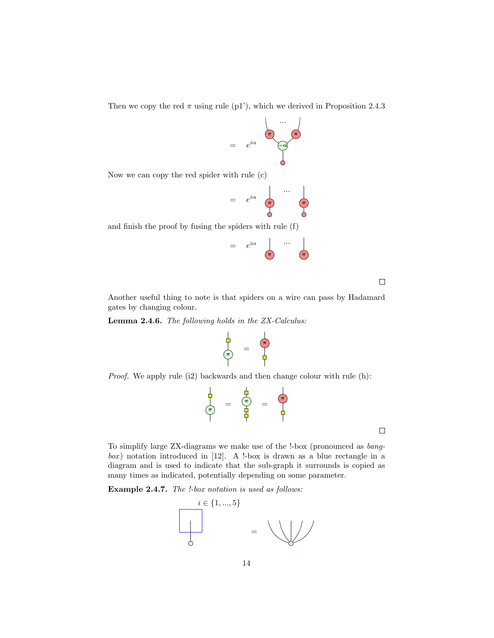Then we copy the red  $\pi$  using rule (p1'), which we derived in Proposition 2.4.3

$$
= e^{i\alpha} \qquad \qquad \overbrace{\qquad \qquad }^{ \qquad \cdots \qquad \qquad }_{ \qquad \qquad }
$$

Now we can copy the red spider with rule (c)

$$
= e^{i\alpha} \begin{array}{ccc} & & \dots & \\ & & \dots & \\ & & & \end{array}
$$

and finish the proof by fusing the spiders with rule (f)

iα ... = e π π

 $\Box$ 

Another useful thing to note is that spiders on a wire can pass by Hadamard gates by changing colour.

Lemma 2.4.6. The following holds in the ZX-Calculus:

$$
\begin{array}{c}\n\downarrow \\
\uparrow \\
\uparrow\n\end{array} = \begin{array}{c}\n\uparrow \\
\uparrow \\
\downarrow\n\end{array}
$$

Proof. We apply rule (i2) backwards and then change colour with rule (h):

$$
\begin{array}{c}\n\frac{1}{\sqrt{2}} \\
\frac{1}{\sqrt{2}} \\
\frac{1}{\sqrt{2}} \\
\frac{1}{\sqrt{2}} \\
\frac{1}{\sqrt{2}} \\
\frac{1}{\sqrt{2}} \\
\frac{1}{\sqrt{2}} \\
\frac{1}{\sqrt{2}} \\
\frac{1}{\sqrt{2}} \\
\frac{1}{\sqrt{2}} \\
\frac{1}{\sqrt{2}} \\
\frac{1}{\sqrt{2}} \\
\frac{1}{\sqrt{2}} \\
\frac{1}{\sqrt{2}} \\
\frac{1}{\sqrt{2}} \\
\frac{1}{\sqrt{2}} \\
\frac{1}{\sqrt{2}} \\
\frac{1}{\sqrt{2}} \\
\frac{1}{\sqrt{2}} \\
\frac{1}{\sqrt{2}} \\
\frac{1}{\sqrt{2}} \\
\frac{1}{\sqrt{2}} \\
\frac{1}{\sqrt{2}} \\
\frac{1}{\sqrt{2}} \\
\frac{1}{\sqrt{2}} \\
\frac{1}{\sqrt{2}} \\
\frac{1}{\sqrt{2}} \\
\frac{1}{\sqrt{2}} \\
\frac{1}{\sqrt{2}} \\
\frac{1}{\sqrt{2}} \\
\frac{1}{\sqrt{2}} \\
\frac{1}{\sqrt{2}} \\
\frac{1}{\sqrt{2}} \\
\frac{1}{\sqrt{2}} \\
\frac{1}{\sqrt{2}} \\
\frac{1}{\sqrt{2}} \\
\frac{1}{\sqrt{2}} \\
\frac{1}{\sqrt{2}} \\
\frac{1}{\sqrt{2}} \\
\frac{1}{\sqrt{2}} \\
\frac{1}{\sqrt{2}} \\
\frac{1}{\sqrt{2}} \\
\frac{1}{\sqrt{2}} \\
\frac{1}{\sqrt{2}} \\
\frac{1}{\sqrt{2}} \\
\frac{1}{\sqrt{2}} \\
\frac{1}{\sqrt{2}} \\
\frac{1}{\sqrt{2}} \\
\frac{1}{\sqrt{2}} \\
\frac{1}{\sqrt{2}} \\
\frac{1}{\sqrt{2}} \\
\frac{1}{\sqrt{2}} \\
\frac{1}{\sqrt{2}} \\
\frac{1}{\sqrt{2}} \\
\frac{1}{\sqrt{2}} \\
\frac{1}{\sqrt{2}} \\
\frac{1}{\sqrt{2}} \\
\frac{1}{\sqrt{2}} \\
\frac{1}{\sqrt{2}} \\
\frac{1}{\sqrt{2}} \\
\frac{1}{\sqrt{2}} \\
\frac{1}{\sqrt{2}} \\
\frac{1}{\sqrt{2}} \\
\frac{1}{\sqrt{2}} \\
\frac{1}{\sqrt{2}} \\
\frac{1}{\sqrt{2}} \\
\frac{1}{\sqrt{2}} \\
\frac{1}{\sqrt{2}} \\
\frac{1
$$

 $\Box$ 

To simplify large ZX-diagrams we make use of the !-box (pronounced as bang $box$ ) notation introduced in [12]. A !-box is drawn as a blue rectangle in a diagram and is used to indicate that the sub-graph it surrounds is copied as many times as indicated, potentially depending on some parameter.

Example 2.4.7. The !-box notation is used as follows:

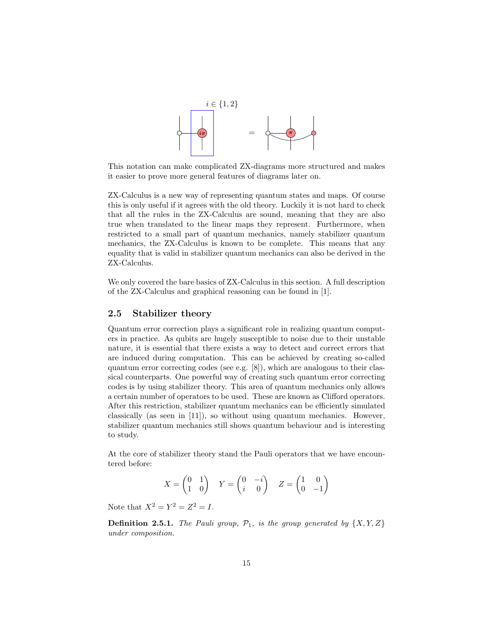

This notation can make complicated ZX-diagrams more structured and makes it easier to prove more general features of diagrams later on.

ZX-Calculus is a new way of representing quantum states and maps. Of course this is only useful if it agrees with the old theory. Luckily it is not hard to check that all the rules in the ZX-Calculus are sound, meaning that they are also true when translated to the linear maps they represent. Furthermore, when restricted to a small part of quantum mechanics, namely stabilizer quantum mechanics, the ZX-Calculus is known to be complete. This means that any equality that is valid in stabilizer quantum mechanics can also be derived in the ZX-Calculus.

We only covered the bare basics of ZX-Calculus in this section. A full description of the ZX-Calculus and graphical reasoning can be found in [1].

#### 2.5 Stabilizer theory

Quantum error correction plays a significant role in realizing quantum computers in practice. As qubits are hugely susceptible to noise due to their unstable nature, it is essential that there exists a way to detect and correct errors that are induced during computation. This can be achieved by creating so-called quantum error correcting codes (see e.g.  $[8]$ ), which are analogous to their classical counterparts. One powerful way of creating such quantum error correcting codes is by using stabilizer theory. This area of quantum mechanics only allows a certain number of operators to be used. These are known as Clifford operators. After this restriction, stabilizer quantum mechanics can be efficiently simulated classically (as seen in [11]), so without using quantum mechanics. However, stabilizer quantum mechanics still shows quantum behaviour and is interesting to study.

At the core of stabilizer theory stand the Pauli operators that we have encountered before:

$$
X = \begin{pmatrix} 0 & 1 \\ 1 & 0 \end{pmatrix} \quad Y = \begin{pmatrix} 0 & -i \\ i & 0 \end{pmatrix} \quad Z = \begin{pmatrix} 1 & 0 \\ 0 & -1 \end{pmatrix}
$$

Note that  $X^2 = Y^2 = Z^2 = I$ .

**Definition 2.5.1.** The Pauli group,  $\mathcal{P}_1$ , is the group generated by  $\{X, Y, Z\}$ under composition.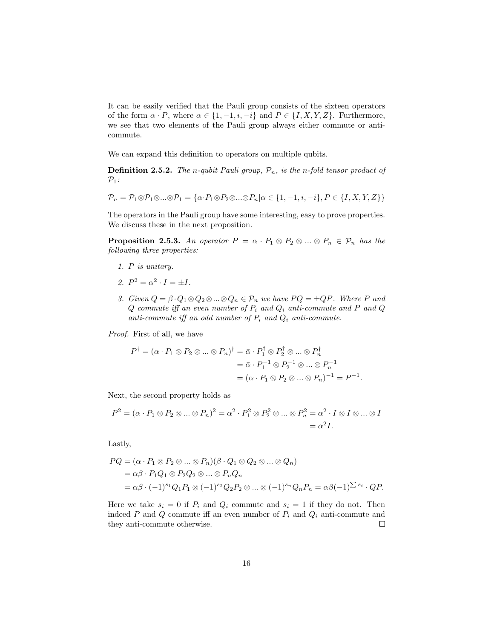It can be easily verified that the Pauli group consists of the sixteen operators of the form  $\alpha \cdot P$ , where  $\alpha \in \{1, -1, i, -i\}$  and  $P \in \{I, X, Y, Z\}$ . Furthermore, we see that two elements of the Pauli group always either commute or anticommute.

We can expand this definition to operators on multiple qubits.

**Definition 2.5.2.** The n-qubit Pauli group,  $\mathcal{P}_n$ , is the n-fold tensor product of  $\mathcal{P}_1$ :

$$
\mathcal{P}_n = \mathcal{P}_1 \otimes \mathcal{P}_1 \otimes \ldots \otimes \mathcal{P}_1 = \{ \alpha \cdot P_1 \otimes P_2 \otimes \ldots \otimes P_n | \alpha \in \{1, -1, i, -i\}, P \in \{I, X, Y, Z\} \}
$$

The operators in the Pauli group have some interesting, easy to prove properties. We discuss these in the next proposition.

**Proposition 2.5.3.** An operator  $P = \alpha \cdot P_1 \otimes P_2 \otimes ... \otimes P_n \in \mathcal{P}_n$  has the following three properties:

- 1. P is unitary.
- 2.  $P^2 = \alpha^2 \cdot I = \pm I$ .
- 3. Given  $Q = \beta \cdot Q_1 \otimes Q_2 \otimes ... \otimes Q_n \in \mathcal{P}_n$  we have  $PQ = \pm QP$ . Where P and  $Q$  commute iff an even number of  $P_i$  and  $Q_i$  anti-commute and P and Q anti-commute iff an odd number of  $P_i$  and  $Q_i$  anti-commute.

Proof. First of all, we have

$$
P^{\dagger} = (\alpha \cdot P_1 \otimes P_2 \otimes \dots \otimes P_n)^{\dagger} = \bar{\alpha} \cdot P_1^{\dagger} \otimes P_2^{\dagger} \otimes \dots \otimes P_n^{\dagger}
$$
  
=  $\bar{\alpha} \cdot P_1^{-1} \otimes P_2^{-1} \otimes \dots \otimes P_n^{-1}$   
=  $(\alpha \cdot P_1 \otimes P_2 \otimes \dots \otimes P_n)^{-1} = P^{-1}.$ 

Next, the second property holds as

$$
P^2 = (\alpha \cdot P_1 \otimes P_2 \otimes \ldots \otimes P_n)^2 = \alpha^2 \cdot P_1^2 \otimes P_2^2 \otimes \ldots \otimes P_n^2 = \alpha^2 \cdot I \otimes I \otimes \ldots \otimes I
$$
  
=  $\alpha^2 I$ .

Lastly,

$$
PQ = (\alpha \cdot P_1 \otimes P_2 \otimes \dots \otimes P_n)(\beta \cdot Q_1 \otimes Q_2 \otimes \dots \otimes Q_n)
$$
  
=  $\alpha \beta \cdot P_1 Q_1 \otimes P_2 Q_2 \otimes \dots \otimes P_n Q_n$   
=  $\alpha \beta \cdot (-1)^{s_1} Q_1 P_1 \otimes (-1)^{s_2} Q_2 P_2 \otimes \dots \otimes (-1)^{s_n} Q_n P_n = \alpha \beta (-1)^{\sum s_i} \cdot QP.$ 

Here we take  $s_i = 0$  if  $P_i$  and  $Q_i$  commute and  $s_i = 1$  if they do not. Then indeed P and Q commute iff an even number of  $P_i$  and  $Q_i$  anti-commute and they anti-commute otherwise.  $\Box$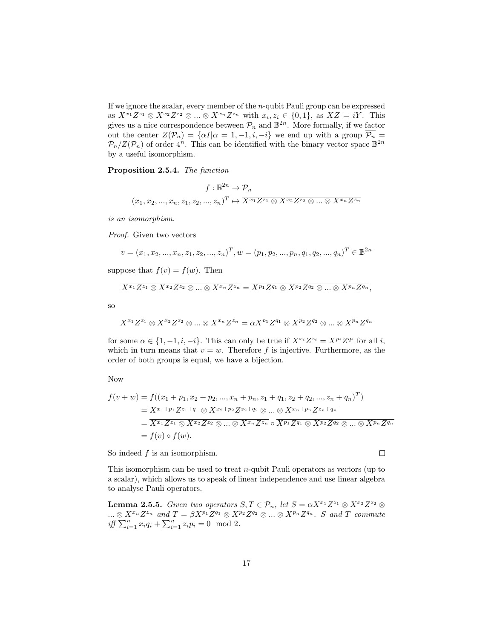If we ignore the scalar, every member of the n-qubit Pauli group can be expressed as  $X^{x_1}Z^{z_1} \otimes X^{x_2}Z^{z_2} \otimes ... \otimes X^{x_n}Z^{z_n}$  with  $x_i, z_i \in \{0, 1\}$ , as  $XZ = iY$ . This gives us a nice correspondence between  $\mathcal{P}_n$  and  $\mathbb{B}^{2n}$ . More formally, if we factor out the center  $Z(\mathcal{P}_n) = {\alpha I | \alpha = 1, -1, i, -i}$  we end up with a group  $\overline{\mathcal{P}_n} =$  $\mathcal{P}_n/Z(\mathcal{P}_n)$  of order  $4^n$ . This can be identified with the binary vector space  $\mathbb{B}^{2n}$ by a useful isomorphism.

Proposition 2.5.4. The function

$$
f: \mathbb{B}^{2n} \to \overline{\mathcal{P}_n}
$$

$$
(x_1, x_2, ..., x_n, z_1, z_2, ..., z_n)^T \mapsto \overline{X^{x_1} Z^{z_1} \otimes X^{x_2} Z^{z_2} \otimes ... \otimes X^{x_n} Z^{z_n}}
$$

is an isomorphism.

Proof. Given two vectors

$$
v = (x_1, x_2, ..., x_n, z_1, z_2, ..., z_n)^T, w = (p_1, p_2, ..., p_n, q_1, q_2, ..., q_n)^T \in \mathbb{B}^{2n}
$$

suppose that  $f(v) = f(w)$ . Then

$$
\overline{X^{x_1}Z^{z_1}\otimes X^{x_2}Z^{z_2}\otimes...\otimes X^{x_n}Z^{z_n}}=\overline{X^{p_1}Z^{q_1}\otimes X^{p_2}Z^{q_2}\otimes...\otimes X^{p_n}Z^{q_n}},
$$

so

$$
X^{x_1}Z^{z_1}\otimes X^{x_2}Z^{z_2}\otimes\ldots\otimes X^{x_n}Z^{z_n}=\alpha X^{p_1}Z^{q_1}\otimes X^{p_2}Z^{q_2}\otimes\ldots\otimes X^{p_n}Z^{q_n}
$$

for some  $\alpha \in \{1, -1, i, -i\}$ . This can only be true if  $X^{x_i} Z^{z_i} = X^{p_i} Z^{q_i}$  for all i, which in turn means that  $v = w$ . Therefore f is injective. Furthermore, as the order of both groups is equal, we have a bijection.

Now

$$
f(v+w) = f((x_1 + p_1, x_2 + p_2, ..., x_n + p_n, z_1 + q_1, z_2 + q_2, ..., z_n + q_n)^T)
$$
  
=  $\overline{X^{x_1+p_1}Z^{z_1+q_1} \otimes X^{x_2+p_2}Z^{z_2+q_2} \otimes ... \otimes X^{x_n+p_n}Z^{z_n+q_n}}$   
=  $\overline{X^{x_1}Z^{z_1} \otimes X^{x_2}Z^{z_2} \otimes ... \otimes X^{x_n}Z^{z_n}} \circ \overline{X^{p_1}Z^{q_1} \otimes X^{p_2}Z^{q_2} \otimes ... \otimes X^{p_n}Z^{q_n}}$   
=  $f(v) \circ f(w).$ 

So indeed  $f$  is an isomorphism.

This isomorphism can be used to treat  $n$ -qubit Pauli operators as vectors (up to a scalar), which allows us to speak of linear independence and use linear algebra to analyse Pauli operators.

**Lemma 2.5.5.** Given two operators  $S, T \in \mathcal{P}_n$ , let  $S = \alpha X^{x_1} Z^{z_1} \otimes X^{x_2} Z^{z_2} \otimes$  $\ldots \otimes X^{x_n} Z^{z_n}$  and  $T = \beta X^{p_1} Z^{q_1} \otimes X^{p_2} Z^{q_2} \otimes \ldots \otimes X^{p_n} Z^{q_n}$ . S and T commute iff  $\sum_{i=1}^{n} x_i q_i + \sum_{i=1}^{n} z_i p_i = 0 \mod 2$ .

 $\Box$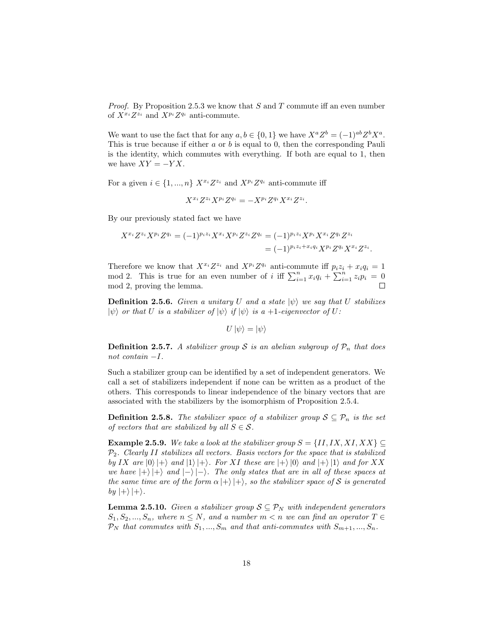*Proof.* By Proposition 2.5.3 we know that  $S$  and  $T$  commute iff an even number of  $X^{x_i}Z^{z_i}$  and  $X^{p_i}Z^{q_i}$  anti-commute.

We want to use the fact that for any  $a, b \in \{0, 1\}$  we have  $X^a Z^b = (-1)^{ab} Z^b X^a$ . This is true because if either  $a$  or  $b$  is equal to 0, then the corresponding Pauli is the identity, which commutes with everything. If both are equal to 1, then we have  $XY = -YX$ .

For a given  $i \in \{1, ..., n\}$   $X^{x_i}Z^{z_i}$  and  $X^{p_i}Z^{q_i}$  anti-commute iff

$$
X^{x_i}Z^{z_i}X^{p_i}Z^{q_i} = -X^{p_i}Z^{q_i}X^{x_i}Z^{z_i}.
$$

By our previously stated fact we have

$$
X^{x_i} Z^{z_i} X^{p_i} Z^{q_i} = (-1)^{p_i z_i} X^{x_i} X^{p_i} Z^{z_i} Z^{q_i} = (-1)^{p_i z_i} X^{p_i} X^{x_i} Z^{q_i} Z^{z_i}
$$
  
= 
$$
(-1)^{p_i z_i + x_i q_i} X^{p_i} Z^{q_i} X^{x_i} Z^{z_i}.
$$

Therefore we know that  $X^{x_i}Z^{z_i}$  and  $X^{p_i}Z^{q_i}$  anti-commute iff  $p_iz_i + x_iq_i = 1$ mod 2. This is true for an even number of i iff  $\sum_{i=1}^{n} x_i q_i + \sum_{i=1}^{n} z_i p_i = 0$ mod 2, proving the lemma.

**Definition 2.5.6.** Given a unitary U and a state  $|\psi\rangle$  we say that U stabilizes  $|\psi\rangle$  or that U is a stabilizer of  $|\psi\rangle$  if  $|\psi\rangle$  is a +1-eigenvector of U:

$$
U\ket{\psi}=\ket{\psi}
$$

**Definition 2.5.7.** A stabilizer group S is an abelian subgroup of  $\mathcal{P}_n$  that does not contain −I.

Such a stabilizer group can be identified by a set of independent generators. We call a set of stabilizers independent if none can be written as a product of the others. This corresponds to linear independence of the binary vectors that are associated with the stabilizers by the isomorphism of Proposition 2.5.4.

**Definition 2.5.8.** The stabilizer space of a stabilizer group  $S \subseteq \mathcal{P}_n$  is the set of vectors that are stabilized by all  $S \in \mathcal{S}$ .

**Example 2.5.9.** We take a look at the stabilizer group  $S = \{II, IX, XI, XX\} \subseteq$  $P_2$ . Clearly II stabilizes all vectors. Basis vectors for the space that is stabilized by IX are  $|0\rangle |+\rangle$  and  $|1\rangle |+\rangle$ . For XI these are  $|+\rangle |0\rangle$  and  $|+\rangle |1\rangle$  and for XX we have  $|+\rangle |+\rangle$  and  $|-\rangle |-$ . The only states that are in all of these spaces at the same time are of the form  $\alpha$   $|+\rangle$   $|+\rangle$ , so the stabilizer space of S is generated by  $|+\rangle |+\rangle$ .

**Lemma 2.5.10.** Given a stabilizer group  $S \subseteq \mathcal{P}_N$  with independent generators  $S_1, S_2, ..., S_n$ , where  $n \leq N$ , and a number  $m < n$  we can find an operator  $T \in$  $\mathcal{P}_N$  that commutes with  $S_1, ..., S_m$  and that anti-commutes with  $S_{m+1}, ..., S_n$ .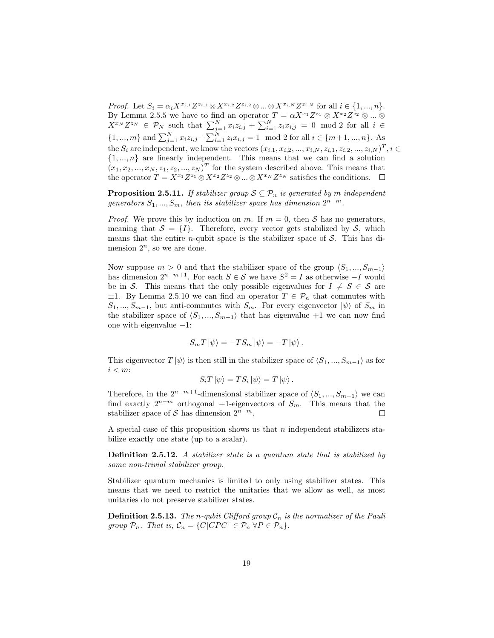Proof. Let  $S_i = \alpha_i X^{x_{i,1}} Z^{z_{i,1}} \otimes X^{x_{i,2}} Z^{z_{i,2}} \otimes ... \otimes X^{x_{i,N}} Z^{z_{i,N}}$  for all  $i \in \{1, ..., n\}$ . By Lemma 2.5.5 we have to find an operator  $T = \alpha X^{x_1} Z^{z_1} \otimes X^{x_2} Z^{z_2} \otimes ... \otimes$  $X^{x_N}Z^{z_N} \in \mathcal{P}_N$  such that  $\sum_{j=1}^N x_i z_{i,j} + \sum_{i=1}^N z_i x_{i,j} = 0 \mod 2$  for all  $i \in$  $\{1, ..., m\}$  and  $\sum_{j=1}^{N} x_i z_{i,j} + \sum_{i=1}^{N} z_i x_{i,j} = 1 \mod 2$  for all  $i \in \{m+1, ..., n\}$ . As the  $S_i$  are independent, we know the vectors  $(x_{i,1}, x_{i,2}, ..., x_{i,N}, z_{i,1}, z_{i,2}, ..., z_{i,N})^T$ ,  $i \in$  $\{1, ..., n\}$  are linearly independent. This means that we can find a solution  $(x_1, x_2, ..., x_N, z_1, z_2, ..., z_N)^T$  for the system described above. This means that the operator  $T = X^{x_1} Z^{z_1} \otimes X^{x_2} Z^{z_2} \otimes ... \otimes X^{x_N} Z^{z_N}$  satisfies the conditions.

**Proposition 2.5.11.** If stabilizer group  $S \subseteq \mathcal{P}_n$  is generated by m independent generators  $S_1, ..., S_m$ , then its stabilizer space has dimension  $2^{n-m}$ .

*Proof.* We prove this by induction on m. If  $m = 0$ , then S has no generators, meaning that  $S = \{I\}$ . Therefore, every vector gets stabilized by S, which means that the entire *n*-qubit space is the stabilizer space of  $S$ . This has dimension  $2^n$ , so we are done.

Now suppose  $m > 0$  and that the stabilizer space of the group  $\langle S_1, ..., S_{m-1} \rangle$ has dimension  $2^{n-m+1}$ . For each  $S \in \mathcal{S}$  we have  $S^2 = I$  as otherwise  $-I$  would be in S. This means that the only possible eigenvalues for  $I \neq S \in \mathcal{S}$  are  $\pm 1$ . By Lemma 2.5.10 we can find an operator  $T \in \mathcal{P}_n$  that commutes with  $S_1, ..., S_{m-1}$ , but anti-commutes with  $S_m$ . For every eigenvector  $|\psi\rangle$  of  $S_m$  in the stabilizer space of  $\langle S_1, ..., S_{m-1} \rangle$  that has eigenvalue +1 we can now find one with eigenvalue −1:

$$
S_m T |\psi\rangle = -TS_m |\psi\rangle = -T |\psi\rangle.
$$

This eigenvector  $T |\psi\rangle$  is then still in the stabilizer space of  $\langle S_1, ..., S_{m-1} \rangle$  as for  $i < m$ :

$$
S_i T |\psi\rangle = TS_i |\psi\rangle = T |\psi\rangle.
$$

Therefore, in the  $2^{n-m+1}$ -dimensional stabilizer space of  $\langle S_1, ..., S_{m-1} \rangle$  we can find exactly  $2^{n-m}$  orthogonal +1-eigenvectors of  $S_m$ . This means that the stabilizer space of S has dimension  $2^{n-m}$ .  $\Box$ 

A special case of this proposition shows us that  $n$  independent stabilizers stabilize exactly one state (up to a scalar).

Definition 2.5.12. A stabilizer state is a quantum state that is stabilized by some non-trivial stabilizer group.

Stabilizer quantum mechanics is limited to only using stabilizer states. This means that we need to restrict the unitaries that we allow as well, as most unitaries do not preserve stabilizer states.

**Definition 2.5.13.** The n-qubit Clifford group  $C_n$  is the normalizer of the Pauli group  $\mathcal{P}_n$ . That is,  $\mathcal{C}_n = \{C|CPC^{\dagger} \in \mathcal{P}_n \,\forall P \in \mathcal{P}_n\}.$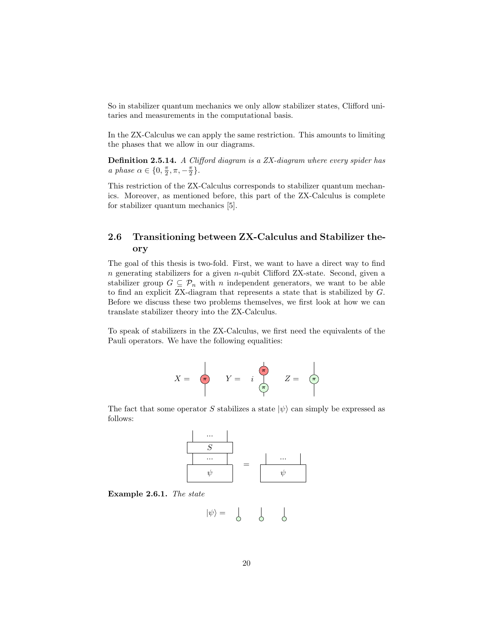So in stabilizer quantum mechanics we only allow stabilizer states, Clifford unitaries and measurements in the computational basis.

In the ZX-Calculus we can apply the same restriction. This amounts to limiting the phases that we allow in our diagrams.

Definition 2.5.14. A Clifford diagram is a ZX-diagram where every spider has a phase  $\alpha \in \{0, \frac{\pi}{2}, \pi, -\frac{\pi}{2}\}.$ 

This restriction of the ZX-Calculus corresponds to stabilizer quantum mechanics. Moreover, as mentioned before, this part of the ZX-Calculus is complete for stabilizer quantum mechanics [5].

#### 2.6 Transitioning between ZX-Calculus and Stabilizer theory

The goal of this thesis is two-fold. First, we want to have a direct way to find n generating stabilizers for a given n-qubit Clifford ZX-state. Second, given a stabilizer group  $G \subseteq \mathcal{P}_n$  with n independent generators, we want to be able to find an explicit ZX-diagram that represents a state that is stabilized by G. Before we discuss these two problems themselves, we first look at how we can translate stabilizer theory into the ZX-Calculus.

To speak of stabilizers in the ZX-Calculus, we first need the equivalents of the Pauli operators. We have the following equalities:



The fact that some operator S stabilizes a state  $|\psi\rangle$  can simply be expressed as follows:



Example 2.6.1. The state

$$
|\psi\rangle = \begin{array}{cc} | & | & | \\ \circ & \circ & \circ \end{array}
$$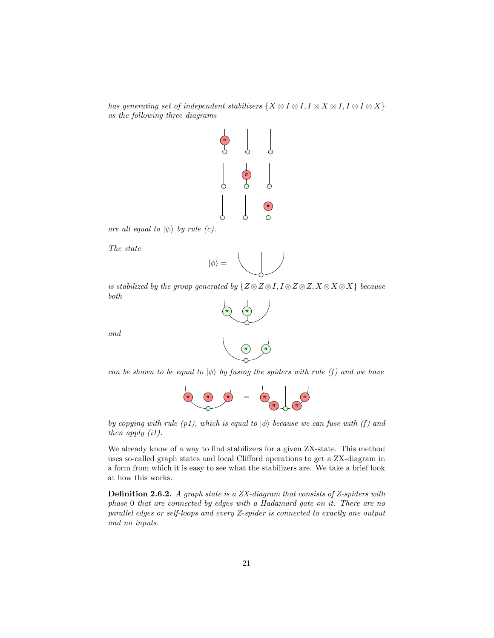has generating set of independent stabilizers  $\{X \otimes I \otimes I, I \otimes X \otimes I, I \otimes I \otimes X\}$ as the following three diagrams



are all equal to  $|\psi\rangle$  by rule (c).

The state

and

$$
|\phi\rangle =
$$

is stabilized by the group generated by  $\{Z \otimes Z \otimes I, I \otimes Z \otimes Z, X \otimes X \otimes X\}$  because both



can be shown to be equal to  $|\phi\rangle$  by fusing the spiders with rule (f) and we have



by copying with rule (p1), which is equal to  $|\phi\rangle$  because we can fuse with (f) and then apply (i1).

We already know of a way to find stabilizers for a given ZX-state. This method uses so-called graph states and local Clifford operations to get a ZX-diagram in a form from which it is easy to see what the stabilizers are. We take a brief look at how this works.

Definition 2.6.2. A graph state is a ZX-diagram that consists of Z-spiders with phase 0 that are connected by edges with a Hadamard gate on it. There are no parallel edges or self-loops and every Z-spider is connected to exactly one output and no inputs.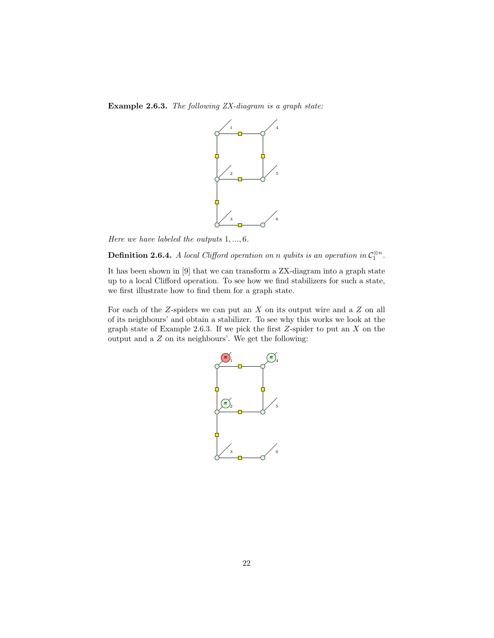Example 2.6.3. The following ZX-diagram is a graph state:



Here we have labeled the outputs 1, ..., 6.

**Definition 2.6.4.** A local Clifford operation on n qubits is an operation in  $\mathcal{C}_1^{\otimes n}$ .

It has been shown in [9] that we can transform a ZX-diagram into a graph state up to a local Clifford operation. To see how we find stabilizers for such a state, we first illustrate how to find them for a graph state.

For each of the  $Z$ -spiders we can put an  $X$  on its output wire and a  $Z$  on all of its neighbours' and obtain a stabilizer. To see why this works we look at the graph state of Example 2.6.3. If we pick the first  $Z$ -spider to put an  $X$  on the output and a  $Z$  on its neighbours'. We get the following:

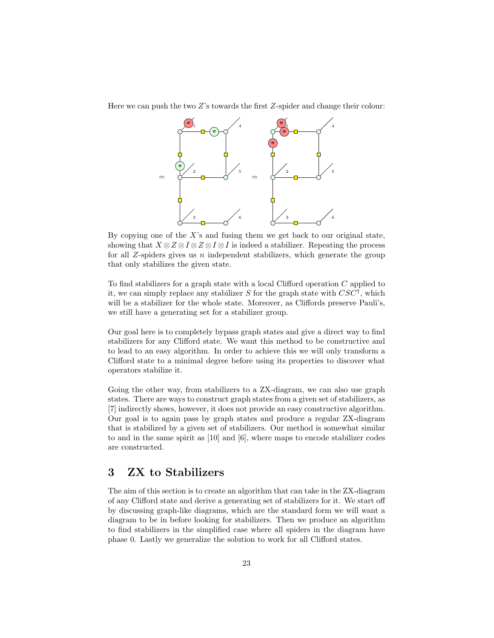Here we can push the two  $Z$ 's towards the first  $Z$ -spider and change their colour:



By copying one of the  $X$ 's and fusing them we get back to our original state, showing that  $X \otimes Z \otimes I \otimes Z \otimes I \otimes I$  is indeed a stabilizer. Repeating the process for all Z-spiders gives us n independent stabilizers, which generate the group that only stabilizes the given state.

To find stabilizers for a graph state with a local Clifford operation C applied to it, we can simply replace any stabilizer S for the graph state with  $CSC^{\dagger}$ , which will be a stabilizer for the whole state. Moreover, as Cliffords preserve Pauli's, we still have a generating set for a stabilizer group.

Our goal here is to completely bypass graph states and give a direct way to find stabilizers for any Clifford state. We want this method to be constructive and to lead to an easy algorithm. In order to achieve this we will only transform a Clifford state to a minimal degree before using its properties to discover what operators stabilize it.

Going the other way, from stabilizers to a ZX-diagram, we can also use graph states. There are ways to construct graph states from a given set of stabilizers, as [7] indirectly shows, however, it does not provide an easy constructive algorithm. Our goal is to again pass by graph states and produce a regular ZX-diagram that is stabilized by a given set of stabilizers. Our method is somewhat similar to and in the same spirit as [10] and [6], where maps to encode stabilizer codes are constructed.

## 3 ZX to Stabilizers

The aim of this section is to create an algorithm that can take in the ZX-diagram of any Clifford state and derive a generating set of stabilizers for it. We start off by discussing graph-like diagrams, which are the standard form we will want a diagram to be in before looking for stabilizers. Then we produce an algorithm to find stabilizers in the simplified case where all spiders in the diagram have phase 0. Lastly we generalize the solution to work for all Clifford states.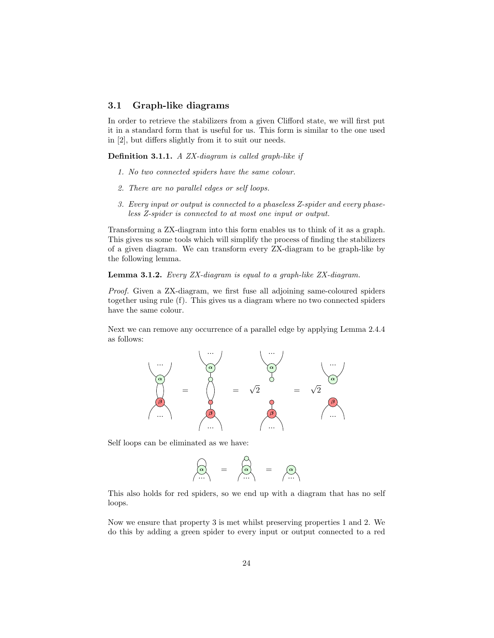#### 3.1 Graph-like diagrams

In order to retrieve the stabilizers from a given Clifford state, we will first put it in a standard form that is useful for us. This form is similar to the one used in [2], but differs slightly from it to suit our needs.

Definition 3.1.1. A ZX-diagram is called graph-like if

- 1. No two connected spiders have the same colour.
- 2. There are no parallel edges or self loops.
- 3. Every input or output is connected to a phaseless Z-spider and every phaseless Z-spider is connected to at most one input or output.

Transforming a ZX-diagram into this form enables us to think of it as a graph. This gives us some tools which will simplify the process of finding the stabilizers of a given diagram. We can transform every ZX-diagram to be graph-like by the following lemma.

Lemma 3.1.2. Every ZX-diagram is equal to a graph-like ZX-diagram.

Proof. Given a ZX-diagram, we first fuse all adjoining same-coloured spiders together using rule (f). This gives us a diagram where no two connected spiders have the same colour.

Next we can remove any occurrence of a parallel edge by applying Lemma 2.4.4 as follows:



Self loops can be eliminated as we have:

$$
\begin{pmatrix} 0 \\ 0 \\ 0 \end{pmatrix} = \begin{pmatrix} 0 \\ 0 \\ 0 \end{pmatrix} = \begin{pmatrix} 0 \\ 0 \\ 0 \end{pmatrix}
$$

This also holds for red spiders, so we end up with a diagram that has no self loops.

Now we ensure that property 3 is met whilst preserving properties 1 and 2. We do this by adding a green spider to every input or output connected to a red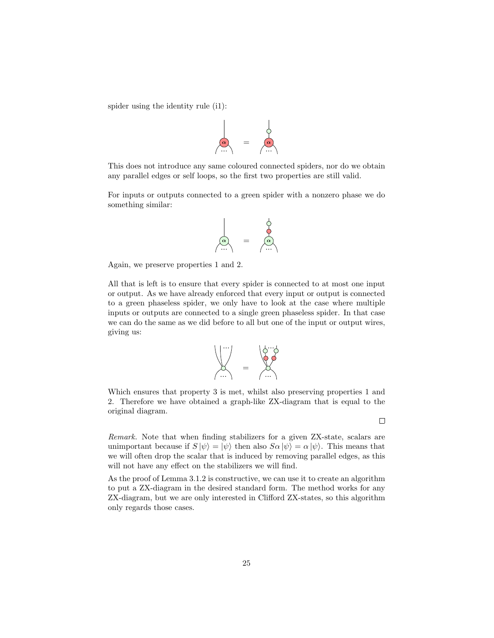spider using the identity rule (i1):



This does not introduce any same coloured connected spiders, nor do we obtain any parallel edges or self loops, so the first two properties are still valid.

For inputs or outputs connected to a green spider with a nonzero phase we do something similar:

$$
\begin{array}{c}\n\downarrow \\
\downarrow \\
\downarrow\n\end{array} = \begin{array}{c}\n\downarrow \\
\downarrow \\
\downarrow\n\end{array}
$$

Again, we preserve properties 1 and 2.

All that is left is to ensure that every spider is connected to at most one input or output. As we have already enforced that every input or output is connected to a green phaseless spider, we only have to look at the case where multiple inputs or outputs are connected to a single green phaseless spider. In that case we can do the same as we did before to all but one of the input or output wires, giving us:



Which ensures that property 3 is met, whilst also preserving properties 1 and 2. Therefore we have obtained a graph-like ZX-diagram that is equal to the original diagram.

Remark. Note that when finding stabilizers for a given ZX-state, scalars are unimportant because if  $S |\psi\rangle = |\psi\rangle$  then also  $S \alpha |\psi\rangle = \alpha |\psi\rangle$ . This means that we will often drop the scalar that is induced by removing parallel edges, as this will not have any effect on the stabilizers we will find.

As the proof of Lemma 3.1.2 is constructive, we can use it to create an algorithm to put a ZX-diagram in the desired standard form. The method works for any ZX-diagram, but we are only interested in Clifford ZX-states, so this algorithm only regards those cases.

 $\Box$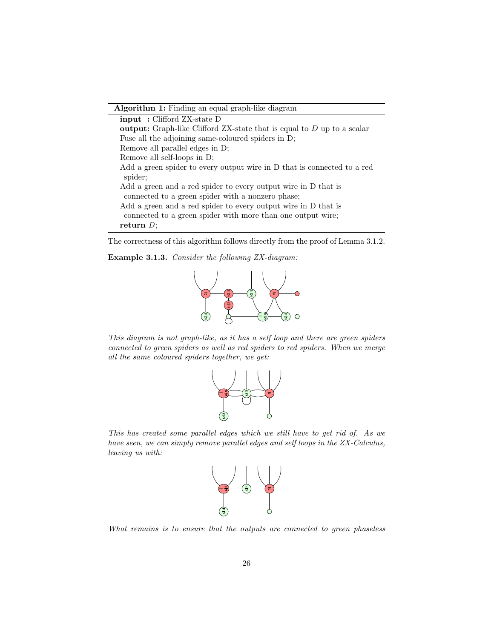Algorithm 1: Finding an equal graph-like diagram

| input: Clifford ZX-state D                                                      |
|---------------------------------------------------------------------------------|
| <b>output:</b> Graph-like Clifford ZX-state that is equal to $D$ up to a scalar |
| Fuse all the adjoining same-coloured spiders in D;                              |
| Remove all parallel edges in D;                                                 |
| Remove all self-loops in D:                                                     |
| Add a green spider to every output wire in D that is connected to a red         |
| spider;                                                                         |
| Add a green and a red spider to every output wire in D that is                  |
| connected to a green spider with a nonzero phase;                               |
| Add a green and a red spider to every output wire in D that is                  |
| connected to a green spider with more than one output wire;                     |
| return $D$ :                                                                    |

The correctness of this algorithm follows directly from the proof of Lemma 3.1.2.

Example 3.1.3. Consider the following ZX-diagram:



This diagram is not graph-like, as it has a self loop and there are green spiders connected to green spiders as well as red spiders to red spiders. When we merge all the same coloured spiders together, we get:



This has created some parallel edges which we still have to get rid of. As we have seen, we can simply remove parallel edges and self loops in the ZX-Calculus, leaving us with:



What remains is to ensure that the outputs are connected to green phaseless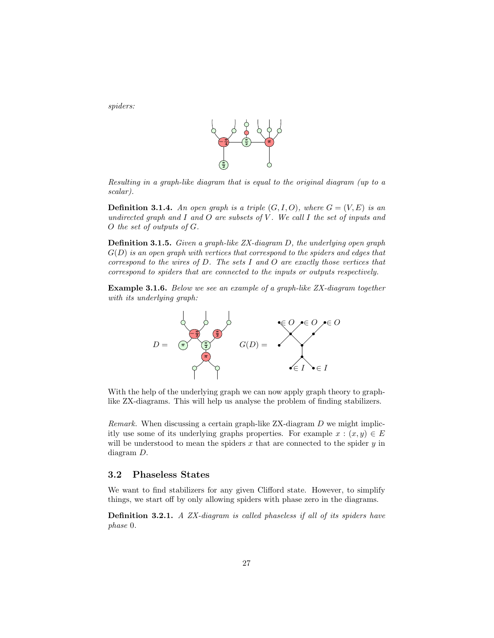spiders:



Resulting in a graph-like diagram that is equal to the original diagram (up to a scalar).

**Definition 3.1.4.** An open graph is a triple  $(G, I, O)$ , where  $G = (V, E)$  is an undirected graph and  $I$  and  $O$  are subsets of  $V$ . We call  $I$  the set of inputs and O the set of outputs of G.

Definition 3.1.5. Given a graph-like ZX-diagram D, the underlying open graph  $G(D)$  is an open graph with vertices that correspond to the spiders and edges that correspond to the wires of  $D$ . The sets  $I$  and  $O$  are exactly those vertices that correspond to spiders that are connected to the inputs or outputs respectively.

Example 3.1.6. Below we see an example of a graph-like ZX-diagram together with its underlying graph:



With the help of the underlying graph we can now apply graph theory to graphlike ZX-diagrams. This will help us analyse the problem of finding stabilizers.

*Remark.* When discussing a certain graph-like  $ZX$ -diagram  $D$  we might implicitly use some of its underlying graphs properties. For example  $x : (x, y) \in E$ will be understood to mean the spiders  $x$  that are connected to the spider  $y$  in diagram D.

#### 3.2 Phaseless States

We want to find stabilizers for any given Clifford state. However, to simplify things, we start off by only allowing spiders with phase zero in the diagrams.

Definition 3.2.1. A ZX-diagram is called phaseless if all of its spiders have phase 0.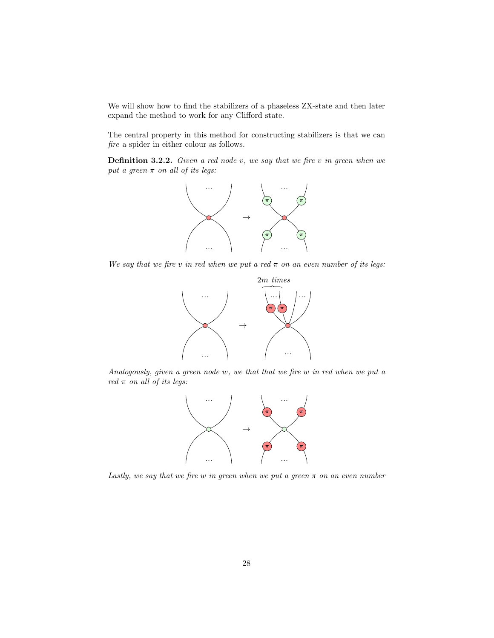We will show how to find the stabilizers of a phaseless ZX-state and then later expand the method to work for any Clifford state.

The central property in this method for constructing stabilizers is that we can fire a spider in either colour as follows.

**Definition 3.2.2.** Given a red node  $v$ , we say that we fire  $v$  in green when we put a green  $\pi$  on all of its legs:



We say that we fire v in red when we put a red  $\pi$  on an even number of its legs:



Analogously, given a green node w, we that that we fire w in red when we put a red  $\pi$  on all of its legs:



Lastly, we say that we fire w in green when we put a green  $\pi$  on an even number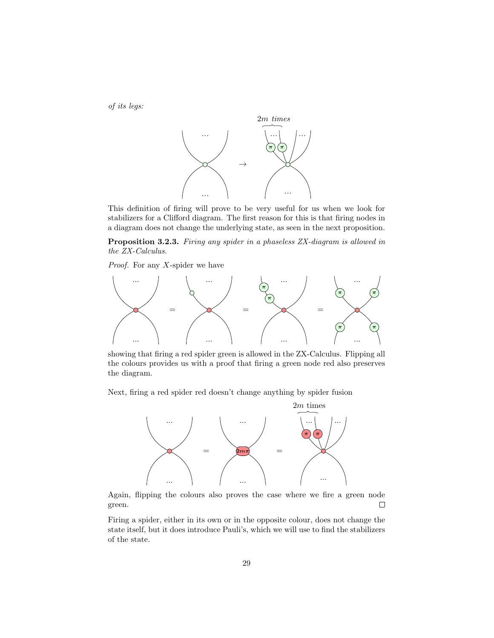of its legs:



This definition of firing will prove to be very useful for us when we look for stabilizers for a Clifford diagram. The first reason for this is that firing nodes in a diagram does not change the underlying state, as seen in the next proposition.

Proposition 3.2.3. Firing any spider in a phaseless ZX-diagram is allowed in the ZX-Calculus.

*Proof.* For any  $X$ -spider we have



showing that firing a red spider green is allowed in the ZX-Calculus. Flipping all the colours provides us with a proof that firing a green node red also preserves the diagram.

Next, firing a red spider red doesn't change anything by spider fusion



Again, flipping the colours also proves the case where we fire a green node green.  $\Box$ 

Firing a spider, either in its own or in the opposite colour, does not change the state itself, but it does introduce Pauli's, which we will use to find the stabilizers of the state.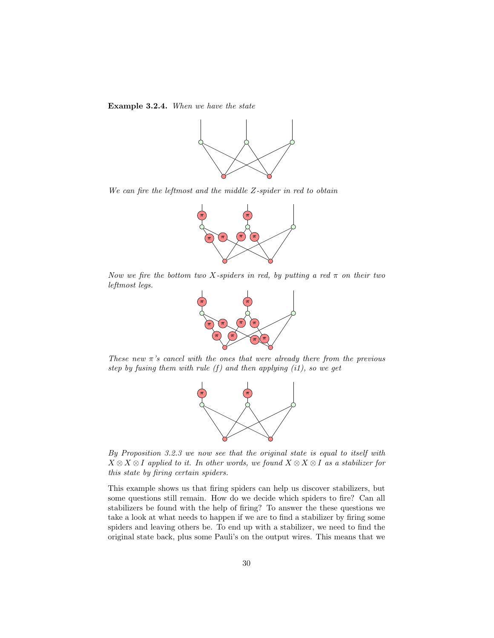Example 3.2.4. When we have the state



We can fire the leftmost and the middle Z-spider in red to obtain



Now we fire the bottom two X-spiders in red, by putting a red  $\pi$  on their two leftmost legs.



These new  $\pi$ 's cancel with the ones that were already there from the previous step by fusing them with rule  $(f)$  and then applying  $(i1)$ , so we get



By Proposition 3.2.3 we now see that the original state is equal to itself with  $X \otimes X \otimes I$  applied to it. In other words, we found  $X \otimes X \otimes I$  as a stabilizer for this state by firing certain spiders.

This example shows us that firing spiders can help us discover stabilizers, but some questions still remain. How do we decide which spiders to fire? Can all stabilizers be found with the help of firing? To answer the these questions we take a look at what needs to happen if we are to find a stabilizer by firing some spiders and leaving others be. To end up with a stabilizer, we need to find the original state back, plus some Pauli's on the output wires. This means that we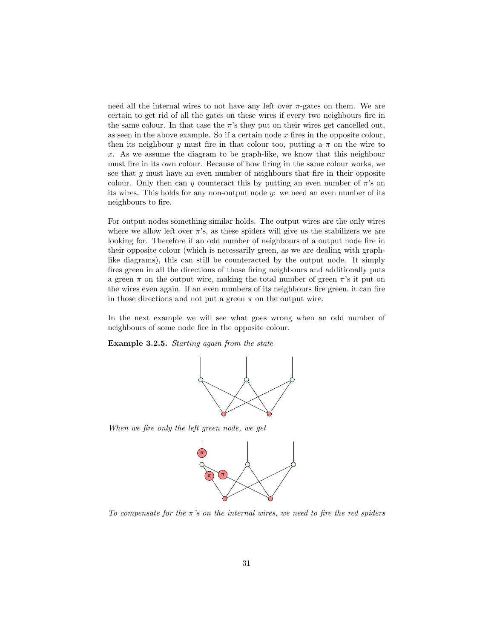need all the internal wires to not have any left over  $\pi$ -gates on them. We are certain to get rid of all the gates on these wires if every two neighbours fire in the same colour. In that case the  $\pi$ 's they put on their wires get cancelled out, as seen in the above example. So if a certain node  $x$  fires in the opposite colour, then its neighbour y must fire in that colour too, putting a  $\pi$  on the wire to x. As we assume the diagram to be graph-like, we know that this neighbour must fire in its own colour. Because of how firing in the same colour works, we see that y must have an even number of neighbours that fire in their opposite colour. Only then can y counteract this by putting an even number of  $\pi$ 's on its wires. This holds for any non-output node  $y$ : we need an even number of its neighbours to fire.

For output nodes something similar holds. The output wires are the only wires where we allow left over  $\pi$ 's, as these spiders will give us the stabilizers we are looking for. Therefore if an odd number of neighbours of a output node fire in their opposite colour (which is necessarily green, as we are dealing with graphlike diagrams), this can still be counteracted by the output node. It simply fires green in all the directions of those firing neighbours and additionally puts a green  $\pi$  on the output wire, making the total number of green  $\pi$ 's it put on the wires even again. If an even numbers of its neighbours fire green, it can fire in those directions and not put a green  $\pi$  on the output wire.

In the next example we will see what goes wrong when an odd number of neighbours of some node fire in the opposite colour.

Example 3.2.5. Starting again from the state



When we fire only the left green node, we get



To compensate for the  $\pi$ 's on the internal wires, we need to fire the red spiders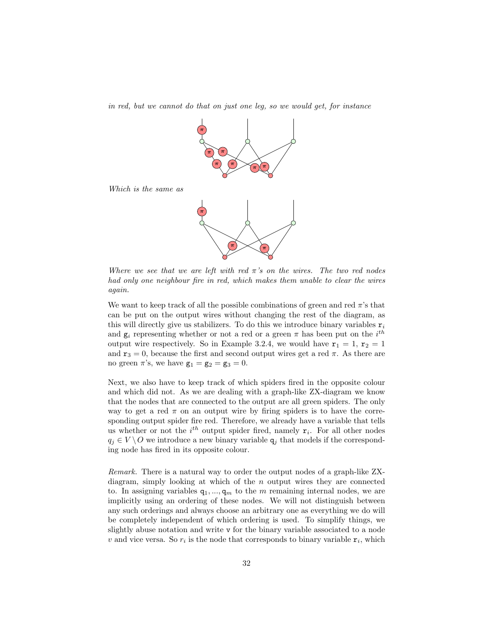in red, but we cannot do that on just one leg, so we would get, for instance



Where we see that we are left with red  $\pi$ 's on the wires. The two red nodes had only one neighbour fire in red, which makes them unable to clear the wires again.

We want to keep track of all the possible combinations of green and red  $\pi$ 's that can be put on the output wires without changing the rest of the diagram, as this will directly give us stabilizers. To do this we introduce binary variables  $r_i$ and  $g_i$  representing whether or not a red or a green  $\pi$  has been put on the  $i^{th}$ output wire respectively. So in Example 3.2.4, we would have  $r_1 = 1$ ,  $r_2 = 1$ and  $r_3 = 0$ , because the first and second output wires get a red  $\pi$ . As there are no green  $\pi$ 's, we have  $\mathbf{g}_1 = \mathbf{g}_2 = \mathbf{g}_3 = 0$ .

Next, we also have to keep track of which spiders fired in the opposite colour and which did not. As we are dealing with a graph-like ZX-diagram we know that the nodes that are connected to the output are all green spiders. The only way to get a red  $\pi$  on an output wire by firing spiders is to have the corresponding output spider fire red. Therefore, we already have a variable that tells us whether or not the  $i^{th}$  output spider fired, namely  $r_i$ . For all other nodes  $q_i \in V \setminus O$  we introduce a new binary variable  $q_j$  that models if the corresponding node has fired in its opposite colour.

Remark. There is a natural way to order the output nodes of a graph-like ZXdiagram, simply looking at which of the  $n$  output wires they are connected to. In assigning variables  $q_1, ..., q_m$  to the m remaining internal nodes, we are implicitly using an ordering of these nodes. We will not distinguish between any such orderings and always choose an arbitrary one as everything we do will be completely independent of which ordering is used. To simplify things, we slightly abuse notation and write v for the binary variable associated to a node v and vice versa. So  $r_i$  is the node that corresponds to binary variable  $r_i$ , which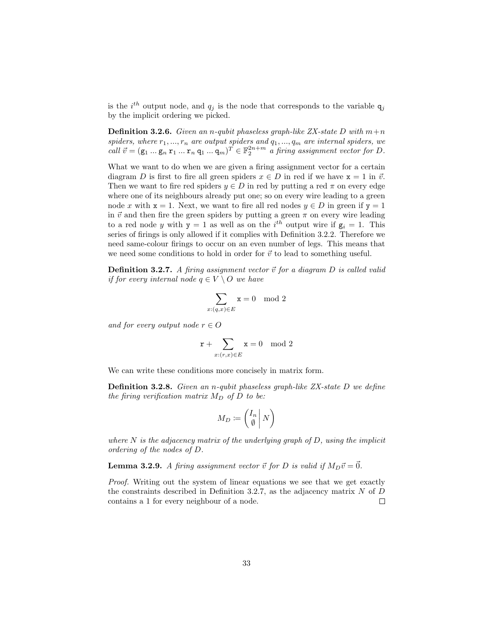is the  $i^{th}$  output node, and  $q_j$  is the node that corresponds to the variable  $q_j$ by the implicit ordering we picked.

**Definition 3.2.6.** Given an n-qubit phaseless graph-like ZX-state D with  $m+n$ spiders, where  $r_1, ..., r_n$  are output spiders and  $q_1, ..., q_m$  are internal spiders, we call  $\vec{v} = (\mathbf{g}_1 \dots \mathbf{g}_n \mathbf{r}_1 \dots \mathbf{r}_n \mathbf{q}_1 \dots \mathbf{q}_m)^T \in \mathbb{F}_2^{2n+m}$  a firing assignment vector for D.

What we want to do when we are given a firing assignment vector for a certain diagram D is first to fire all green spiders  $x \in D$  in red if we have  $x = 1$  in  $\vec{v}$ . Then we want to fire red spiders  $y \in D$  in red by putting a red  $\pi$  on every edge where one of its neighbours already put one; so on every wire leading to a green node x with  $x = 1$ . Next, we want to fire all red nodes  $y \in D$  in green if  $y = 1$ in  $\vec{v}$  and then fire the green spiders by putting a green  $\pi$  on every wire leading to a red node y with  $y = 1$  as well as on the  $i<sup>th</sup>$  output wire if  $g_i = 1$ . This series of firings is only allowed if it complies with Definition 3.2.2. Therefore we need same-colour firings to occur on an even number of legs. This means that we need some conditions to hold in order for  $\vec{v}$  to lead to something useful.

**Definition 3.2.7.** A firing assignment vector  $\vec{v}$  for a diagram D is called valid if for every internal node  $q \in V \setminus O$  we have

$$
\sum_{x:(q,x)\in E} x = 0 \mod 2
$$

and for every output node  $r \in O$ 

$$
\mathbf{r} + \sum_{x:(r,x)\in E} \mathbf{x} = 0 \mod 2
$$

We can write these conditions more concisely in matrix form.

Definition 3.2.8. Given an n-qubit phaseless graph-like ZX-state D we define the firing verification matrix  $M_D$  of D to be:

$$
M_D \coloneqq \left(\begin{matrix} I_n \\ \emptyset \end{matrix} \middle| N \right)
$$

where  $N$  is the adjacency matrix of the underlying graph of  $D$ , using the implicit ordering of the nodes of D.

**Lemma 3.2.9.** A firing assignment vector  $\vec{v}$  for D is valid if  $M_D\vec{v} = \vec{0}$ .

Proof. Writing out the system of linear equations we see that we get exactly the constraints described in Definition 3.2.7, as the adjacency matrix  $N$  of  $D$ contains a 1 for every neighbour of a node.  $\Box$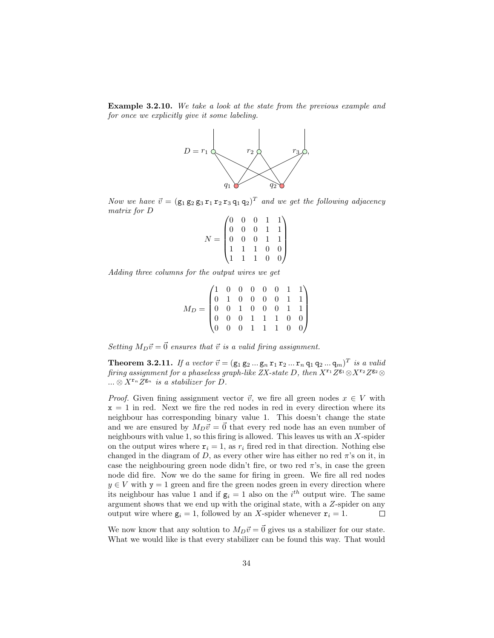Example 3.2.10. We take a look at the state from the previous example and for once we explicitly give it some labeling.



Now we have  $\vec{v} = (\mathsf{g}_1 \mathsf{g}_2 \mathsf{g}_3 \mathsf{r}_1 \mathsf{r}_2 \mathsf{r}_3 \mathsf{q}_1 \mathsf{q}_2)^T$  and we get the following adjacency matrix for D

|  |  | $\begin{pmatrix} 0 & 0 & 0 & 1 & 1 \\ 0 & 0 & 0 & 1 & 1 \\ 0 & 0 & 0 & 1 & 1 \\ 1 & 1 & 1 & 0 & 0 \\ 1 & 1 & 1 & 0 & 0 \end{pmatrix}$ |  |
|--|--|---------------------------------------------------------------------------------------------------------------------------------------|--|

Adding three columns for the output wires we get

$$
M_D=\begin{pmatrix}1&0&0&0&0&0&1&1\\0&1&0&0&0&0&1&1\\0&0&1&0&0&0&1&1\\0&0&0&1&1&1&0&0\\0&0&0&1&1&1&0&0\end{pmatrix}
$$

Setting  $M_D\vec{v} = \vec{0}$  ensures that  $\vec{v}$  is a valid firing assignment.

**Theorem 3.2.11.** If a vector  $\vec{v} = (\mathsf{g}_1 \mathsf{g}_2 ... \mathsf{g}_n \mathsf{r}_1 \mathsf{r}_2 ... \mathsf{r}_n \mathsf{q}_1 \mathsf{q}_2 ... \mathsf{q}_m)^T$  is a valid firing assignment for a phaseless graph-like ZX-state D, then  $X^{r_1}Z^{g_1} \otimes X^{r_2}Z^{g_2} \otimes$  $\ldots \otimes X^{r_n} Z^{g_n}$  is a stabilizer for D.

*Proof.* Given fining assignment vector  $\vec{v}$ , we fire all green nodes  $x \in V$  with  $x = 1$  in red. Next we fire the red nodes in red in every direction where its neighbour has corresponding binary value 1. This doesn't change the state and we are ensured by  $M_D\vec{v} = \vec{0}$  that every red node has an even number of neighbours with value 1, so this firing is allowed. This leaves us with an X-spider on the output wires where  $r_i = 1$ , as  $r_i$  fired red in that direction. Nothing else changed in the diagram of D, as every other wire has either no red  $\pi$ 's on it, in case the neighbouring green node didn't fire, or two red  $\pi$ 's, in case the green node did fire. Now we do the same for firing in green. We fire all red nodes  $y \in V$  with  $y = 1$  green and fire the green nodes green in every direction where its neighbour has value 1 and if  $g_i = 1$  also on the *i*<sup>th</sup> output wire. The same argument shows that we end up with the original state, with a Z-spider on any output wire where  $g_i = 1$ , followed by an X-spider whenever  $r_i = 1$ .  $\Box$ 

We now know that any solution to  $M_D\vec{v} = \vec{0}$  gives us a stabilizer for our state. What we would like is that every stabilizer can be found this way. That would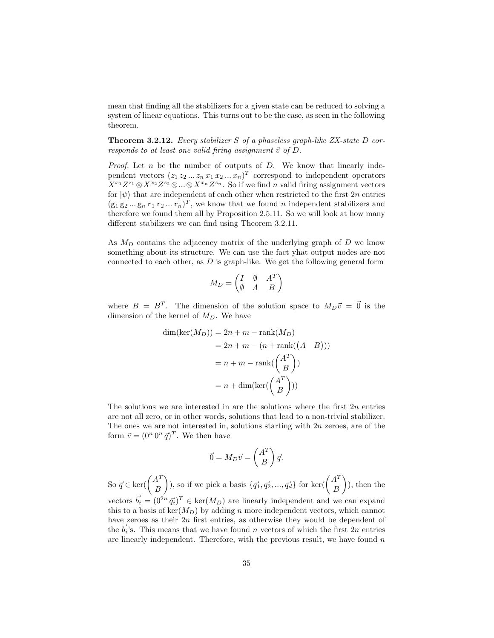mean that finding all the stabilizers for a given state can be reduced to solving a system of linear equations. This turns out to be the case, as seen in the following theorem.

**Theorem 3.2.12.** Every stabilizer S of a phaseless graph-like  $ZX\text{-}state\ D\ cor\text{-}$ responds to at least one valid firing assignment  $\vec{v}$  of D.

*Proof.* Let  $n$  be the number of outputs of  $D$ . We know that linearly independent vectors  $(z_1 z_2 ... z_n x_1 x_2 ... x_n)^T$  correspond to independent operators  $X^{x_1}Z^{z_1} \otimes X^{x_2}Z^{z_2} \otimes \ldots \otimes X^{x_n}Z^{z_n}$ . So if we find n valid firing assignment vectors for  $|\psi\rangle$  that are independent of each other when restricted to the first 2n entries  $(\mathbf{g}_1 \mathbf{g}_2 ... \mathbf{g}_n \mathbf{r}_1 \mathbf{r}_2 ... \mathbf{r}_n)^T$ , we know that we found n independent stabilizers and therefore we found them all by Proposition 2.5.11. So we will look at how many different stabilizers we can find using Theorem 3.2.11.

As  $M_D$  contains the adjacency matrix of the underlying graph of  $D$  we know something about its structure. We can use the fact yhat output nodes are not connected to each other, as  $D$  is graph-like. We get the following general form

$$
M_D = \begin{pmatrix} I & \emptyset & A^T \\ \emptyset & A & B \end{pmatrix}
$$

where  $B = B<sup>T</sup>$ . The dimension of the solution space to  $M_D \vec{v} = \vec{0}$  is the dimension of the kernel of  $M_D$ . We have

$$
\dim(\ker(M_D)) = 2n + m - \operatorname{rank}(M_D)
$$

$$
= 2n + m - (n + \operatorname{rank}((A \quad B)))
$$

$$
= n + m - \operatorname{rank}(\begin{pmatrix} A^T \\ B \end{pmatrix})
$$

$$
= n + \dim(\ker(\begin{pmatrix} A^T \\ B \end{pmatrix}))
$$

The solutions we are interested in are the solutions where the first  $2n$  entries are not all zero, or in other words, solutions that lead to a non-trivial stabilizer. The ones we are not interested in, solutions starting with 2n zeroes, are of the form  $\vec{v} = (0^n 0^n \vec{q})^T$ . We then have

$$
\vec{0} = M_D \vec{v} = \begin{pmatrix} A^T \\ B \end{pmatrix} \vec{q}.
$$

So  $\vec{q} \in \ker(\begin{pmatrix} A^T \\ B \end{pmatrix})$ B ), so if we pick a basis  $\{\vec{q}_1, \vec{q}_2, ..., \vec{q}_d\}$  for ker $({A^T}_{\mathcal{P}})$ B  $\big)$ , then the vectors  $\vec{b}_i = (0^{2n} \vec{q}_i)^T \in \text{ker}(M_D)$  are linearly independent and we can expand this to a basis of  $\ker(M_D)$  by adding n more independent vectors, which cannot have zeroes as their  $2n$  first entries, as otherwise they would be dependent of the  $\vec{b_i}$ 's. This means that we have found n vectors of which the first 2n entries are linearly independent. Therefore, with the previous result, we have found  $n$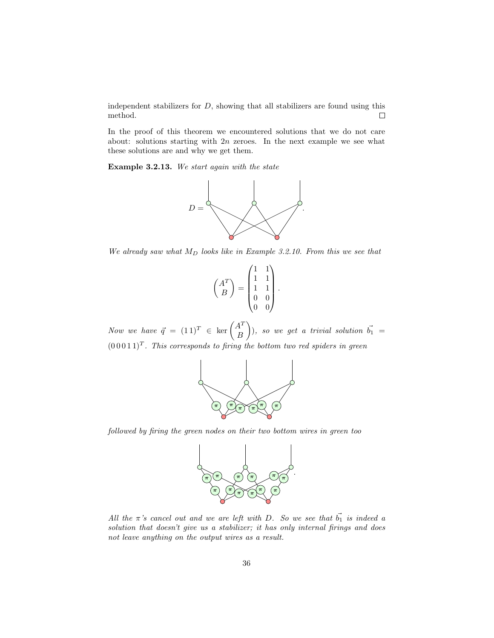independent stabilizers for  $D$ , showing that all stabilizers are found using this method.  $\Box$ 

In the proof of this theorem we encountered solutions that we do not care about: solutions starting with  $2n$  zeroes. In the next example we see what these solutions are and why we get them.

Example 3.2.13. We start again with the state



We already saw what  $M_D$  looks like in Example 3.2.10. From this we see that



Now we have  $\vec{q} = (1\,1)^T \in \ker \begin{pmatrix} A^T \\ B \end{pmatrix}$ B ), so we get a trivial solution  $\vec{b}_1 =$  $(0\,0\,0\,1\,1)^T$ . This corresponds to firing the bottom two red spiders in green



followed by firing the green nodes on their two bottom wires in green too



All the  $\pi$ 's cancel out and we are left with D. So we see that  $\vec{b_1}$  is indeed a solution that doesn't give us a stabilizer; it has only internal firings and does not leave anything on the output wires as a result.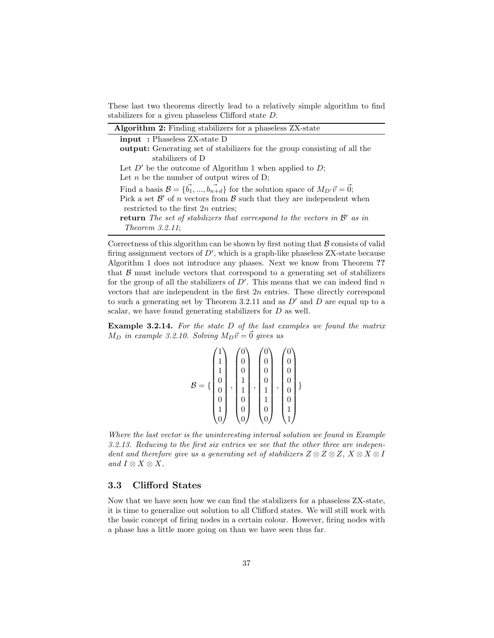These last two theorems directly lead to a relatively simple algorithm to find stabilizers for a given phaseless Clifford state D.

| Algorithm 2: Finding stabilizers for a phaseless ZX-state                                                         |
|-------------------------------------------------------------------------------------------------------------------|
| <b>input</b> : Phaseless ZX-state D                                                                               |
| <b>output:</b> Generating set of stabilizers for the group consisting of all the                                  |
| stabilizers of D                                                                                                  |
| Let $D'$ be the outcome of Algorithm 1 when applied to $D$ ;                                                      |
| Let <i>n</i> be the number of output wires of D;                                                                  |
| Find a basis $\mathcal{B} = \{\vec{b_1}, , \vec{b_{n+d}}\}$ for the solution space of $M_{D'}\vec{v} = \vec{0}$ ; |
| Pick a set $\mathcal{B}'$ of <i>n</i> vectors from $\mathcal{B}$ such that they are independent when              |
| restricted to the first $2n$ entries:                                                                             |
| <b>return</b> The set of stabilizers that correspond to the vectors in $\mathcal{B}'$ as in                       |
| Theorem $3.2.11$ ;                                                                                                |

Correctness of this algorithm can be shown by first noting that  $B$  consists of valid firing assignment vectors of  $D'$ , which is a graph-like phaseless  $ZX\text{-state}$  because Algorithm 1 does not introduce any phases. Next we know from Theorem ?? that  $\beta$  must include vectors that correspond to a generating set of stabilizers for the group of all the stabilizers of  $D'$ . This means that we can indeed find n vectors that are independent in the first  $2n$  entries. These directly correspond to such a generating set by Theorem 3.2.11 and as  $D'$  and D are equal up to a scalar, we have found generating stabilizers for D as well.

Example 3.2.14. For the state D of the last examples we found the matrix  $M_D$  in example 3.2.10. Solving  $M_D\vec{v} = \vec{0}$  gives us

|          | 1 |   | 0            |   | 0 |   | 0 |  |
|----------|---|---|--------------|---|---|---|---|--|
|          | 1 |   | 0            |   | 0 |   | 0 |  |
|          | 0 |   | 1            |   | U |   | 0 |  |
| B<br>$=$ | 0 | , | $\mathbf{1}$ | , |   | , | U |  |
|          | 0 |   | 0            |   |   |   | 0 |  |
|          |   |   | 0            |   | U |   |   |  |
|          |   |   | U            |   |   |   |   |  |

Where the last vector is the uninteresting internal solution we found in Example 3.2.13. Reducing to the first six entries we see that the other three are independent and therefore give us a generating set of stabilizers  $Z \otimes Z \otimes Z$ ,  $X \otimes X \otimes I$ and  $I \otimes X \otimes X$ .

#### 3.3 Clifford States

Now that we have seen how we can find the stabilizers for a phaseless ZX-state, it is time to generalize out solution to all Clifford states. We will still work with the basic concept of firing nodes in a certain colour. However, firing nodes with a phase has a little more going on than we have seen thus far.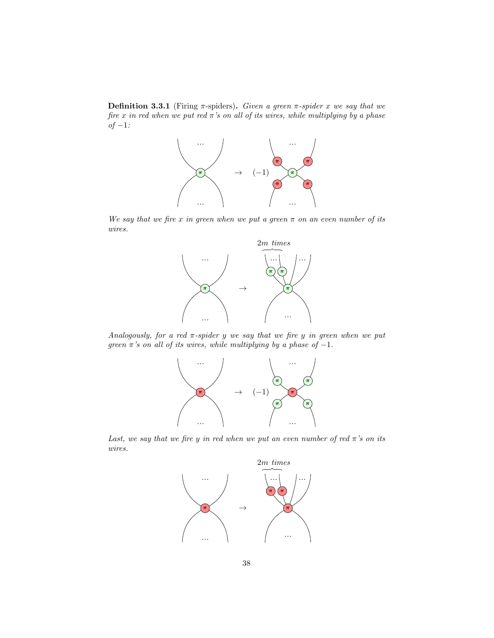**Definition 3.3.1** (Firing  $\pi$ -spiders). Given a green  $\pi$ -spider x we say that we fire x in red when we put red  $\pi$ 's on all of its wires, while multiplying by a phase  $of -1$ :



We say that we fire x in green when we put a green  $\pi$  on an even number of its wires.



Analogously, for a red  $\pi$ -spider y we say that we fire y in green when we put green  $\pi$ 's on all of its wires, while multiplying by a phase of -1.



Last, we say that we fire y in red when we put an even number of red  $\pi$ 's on its wires.

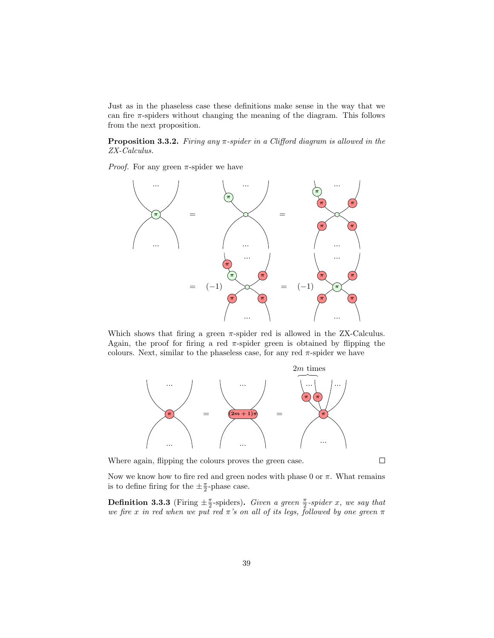Just as in the phaseless case these definitions make sense in the way that we can fire  $\pi$ -spiders without changing the meaning of the diagram. This follows from the next proposition.

**Proposition 3.3.2.** Firing any  $\pi$ -spider in a Clifford diagram is allowed in the ZX-Calculus.

*Proof.* For any green  $\pi$ -spider we have



Which shows that firing a green  $\pi$ -spider red is allowed in the ZX-Calculus. Again, the proof for firing a red  $\pi$ -spider green is obtained by flipping the colours. Next, similar to the phaseless case, for any red  $\pi$ -spider we have



Where again, flipping the colours proves the green case.

 $\Box$ 

Now we know how to fire red and green nodes with phase 0 or  $\pi$ . What remains is to define firing for the  $\pm \frac{\pi}{2}$ -phase case.

**Definition 3.3.3** (Firing  $\pm \frac{\pi}{2}$ -spiders). Given a green  $\frac{\pi}{2}$ -spider x, we say that we fire x in red when we put red  $\pi$ 's on all of its legs, followed by one green  $\pi$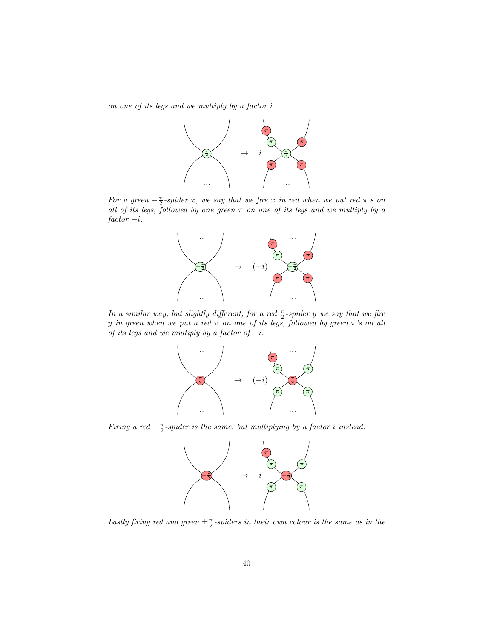on one of its legs and we multiply by a factor i.



For a green  $-\frac{\pi}{2}$ -spider x, we say that we fire x in red when we put red  $\pi$ 's on all of its legs, followed by one green  $\pi$  on one of its legs and we multiply by a  $factor -i.$ 



In a similar way, but slightly different, for a red  $\frac{\pi}{2}$ -spider y we say that we fire y in green when we put a red  $\pi$  on one of its legs, followed by green  $\pi$ 's on all of its legs and we multiply by a factor of  $-i$ .



Firing a red  $-\frac{\pi}{2}$ -spider is the same, but multiplying by a factor i instead.



Lastly firing red and green  $\pm \frac{\pi}{2}$ -spiders in their own colour is the same as in the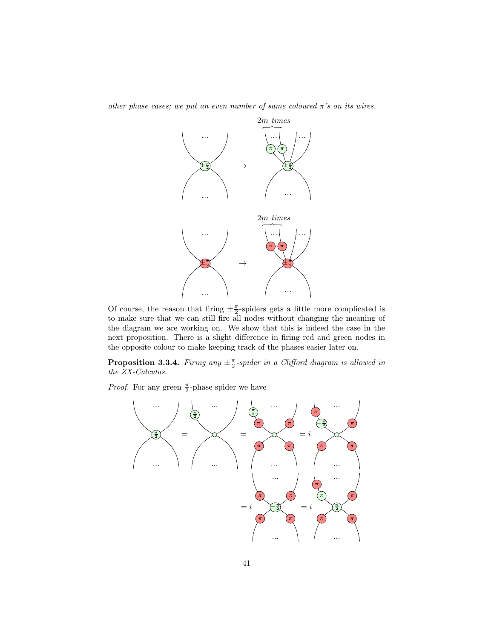other phase cases; we put an even number of same coloured  $\pi$ 's on its wires.



Of course, the reason that firing  $\pm \frac{\pi}{2}$ -spiders gets a little more complicated is to make sure that we can still fire all nodes without changing the meaning of the diagram we are working on. We show that this is indeed the case in the next proposition. There is a slight difference in firing red and green nodes in the opposite colour to make keeping track of the phases easier later on.

**Proposition 3.3.4.** Firing any  $\pm \frac{\pi}{2}$ -spider in a Clifford diagram is allowed in the ZX-Calculus.

*Proof.* For any green  $\frac{\pi}{2}$ -phase spider we have

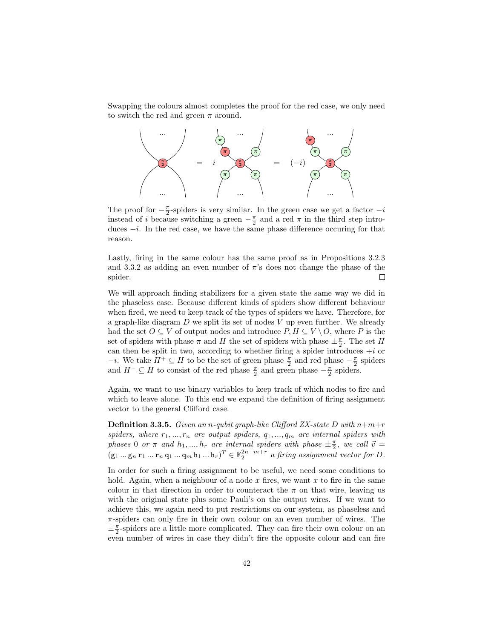Swapping the colours almost completes the proof for the red case, we only need to switch the red and green  $\pi$  around.



The proof for  $-\frac{\pi}{2}$ -spiders is very similar. In the green case we get a factor  $-i$ instead of i because switching a green  $-\frac{\pi}{2}$  and a red  $\pi$  in the third step introduces  $-i$ . In the red case, we have the same phase difference occuring for that reason.

Lastly, firing in the same colour has the same proof as in Propositions 3.2.3 and 3.3.2 as adding an even number of  $\pi$ 's does not change the phase of the spider.  $\Box$ 

We will approach finding stabilizers for a given state the same way we did in the phaseless case. Because different kinds of spiders show different behaviour when fired, we need to keep track of the types of spiders we have. Therefore, for a graph-like diagram  $D$  we split its set of nodes  $V$  up even further. We already had the set  $O \subseteq V$  of output nodes and introduce  $P, H \subseteq V \setminus O$ , where P is the set of spiders with phase  $\pi$  and H the set of spiders with phase  $\pm \frac{\pi}{2}$ . The set H can then be split in two, according to whether firing a spider introduces  $+i$  or  $-i$ . We take  $H^+ \subseteq H$  to be the set of green phase  $\frac{\pi}{2}$  and red phase  $-\frac{\pi}{2}$  spiders and  $H^- \subseteq H$  to consist of the red phase  $\frac{\pi}{2}$  and green phase  $-\frac{\pi}{2}$  spiders.

Again, we want to use binary variables to keep track of which nodes to fire and which to leave alone. To this end we expand the definition of firing assignment vector to the general Clifford case.

**Definition 3.3.5.** Given an n-qubit graph-like Clifford ZX-state D with  $n+m+r$ spiders, where  $r_1, ..., r_n$  are output spiders,  $q_1, ..., q_m$  are internal spiders with phases 0 or  $\pi$  and  $h_1, ..., h_r$  are internal spiders with phase  $\pm \frac{\pi}{2}$ , we call  $\vec{v} =$  $(\mathsf{g}_1 \dots \mathsf{g}_n \mathsf{r}_1 \dots \mathsf{r}_n \mathsf{q}_1 \dots \mathsf{q}_m \mathsf{h}_1 \dots \mathsf{h}_r)^T \in \mathbb{F}_2^{2n+m+r}$  a firing assignment vector for D.

In order for such a firing assignment to be useful, we need some conditions to hold. Again, when a neighbour of a node x fires, we want x to fire in the same colour in that direction in order to counteract the  $\pi$  on that wire, leaving us with the original state plus some Pauli's on the output wires. If we want to achieve this, we again need to put restrictions on our system, as phaseless and  $\pi$ -spiders can only fire in their own colour on an even number of wires. The  $\pm\frac{\pi}{2}$  spiders are a little more complicated. They can fire their own colour on an even number of wires in case they didn't fire the opposite colour and can fire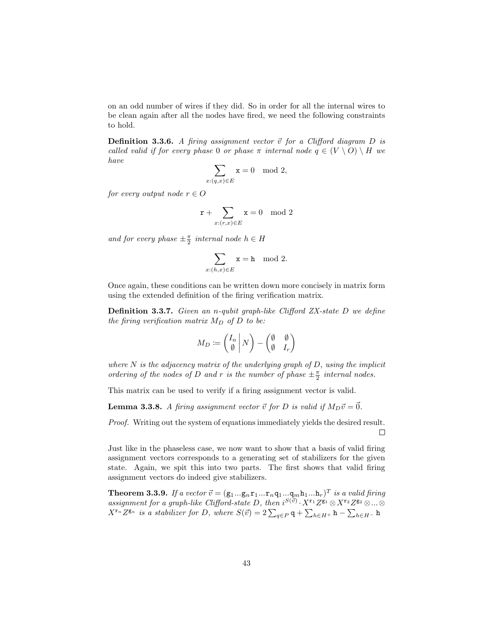on an odd number of wires if they did. So in order for all the internal wires to be clean again after all the nodes have fired, we need the following constraints to hold.

**Definition 3.3.6.** A firing assignment vector  $\vec{v}$  for a Clifford diagram D is called valid if for every phase 0 or phase  $\pi$  internal node  $q \in (V \setminus O) \setminus H$  we have

$$
\sum_{x:(q,x)\in E} x = 0 \mod 2,
$$

for every output node  $r \in O$ 

$$
\mathtt{r} + \sum_{x: (r,x) \in E} \mathtt{x} = 0 \mod 2
$$

and for every phase  $\pm \frac{\pi}{2}$  internal node  $h \in H$ 

$$
\sum_{x:(h,x)\in E} \mathtt{x}=\mathtt{h} \mod 2.
$$

Once again, these conditions can be written down more concisely in matrix form using the extended definition of the firing verification matrix.

Definition 3.3.7. Given an n-qubit graph-like Clifford ZX-state D we define the firing verification matrix  $M_D$  of D to be:

$$
M_D \coloneqq \begin{pmatrix} I_n \\ \emptyset \end{pmatrix} N - \begin{pmatrix} \emptyset & \emptyset \\ \emptyset & I_r \end{pmatrix}
$$

where  $N$  is the adjacency matrix of the underlying graph of  $D$ , using the implicit ordering of the nodes of D and r is the number of phase  $\pm \frac{\pi}{2}$  internal nodes.

This matrix can be used to verify if a firing assignment vector is valid.

**Lemma 3.3.8.** A firing assignment vector  $\vec{v}$  for D is valid if  $M_D\vec{v} = \vec{0}$ .

*Proof.* Writing out the system of equations immediately yields the desired result.  $\Box$ 

Just like in the phaseless case, we now want to show that a basis of valid firing assignment vectors corresponds to a generating set of stabilizers for the given state. Again, we spit this into two parts. The first shows that valid firing assignment vectors do indeed give stabilizers.

**Theorem 3.3.9.** If a vector  $\vec{v} = (\mathbf{g}_1...\mathbf{g}_n\mathbf{r}_1...\mathbf{r}_n\mathbf{q}_1...\mathbf{q}_m\mathbf{h}_1...\mathbf{h}_r)^T$  is a valid firing assignment for a graph-like Clifford-state D, then  $i^{S(\vec{v})} \cdot X^{r_1}Z^{g_1} \otimes X^{r_2}Z^{g_2} \otimes ... \otimes$  $X^{r_n}Z^{g_n}$  is a stabilizer for D, where  $S(\vec{v}) = 2\sum_{q \in P} q + \sum_{h \in H^+} h - \sum_{h \in H^-} h$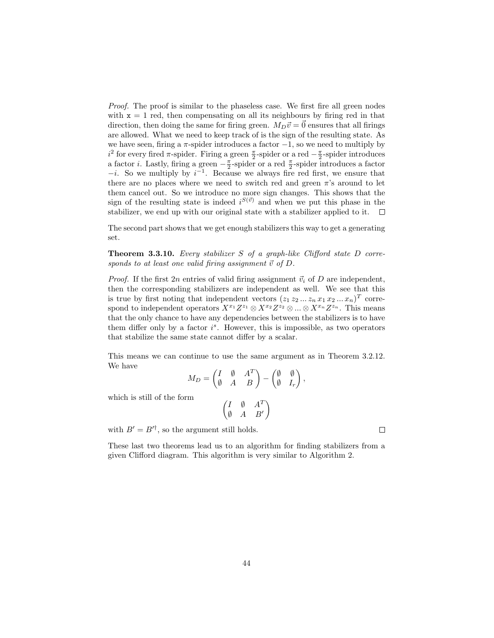Proof. The proof is similar to the phaseless case. We first fire all green nodes with  $x = 1$  red, then compensating on all its neighbours by firing red in that direction, then doing the same for firing green.  $M_D\vec{v} = \vec{0}$  ensures that all firings are allowed. What we need to keep track of is the sign of the resulting state. As we have seen, firing a  $\pi$ -spider introduces a factor  $-1$ , so we need to multiply by  $i^2$  for every fired  $\pi$ -spider. Firing a green  $\frac{\pi}{2}$ -spider or a red  $-\frac{\pi}{2}$ -spider introduces a factor *i*. Lastly, firing a green  $-\frac{\pi}{2}$ -spider or a red  $\frac{\pi}{2}$ -spider introduces a factor  $-i$ . So we multiply by  $i^{-1}$ . Because we always fire red first, we ensure that there are no places where we need to switch red and green  $\pi$ 's around to let them cancel out. So we introduce no more sign changes. This shows that the sign of the resulting state is indeed  $i^{S(\vec{v})}$  and when we put this phase in the stabilizer, we end up with our original state with a stabilizer applied to it.  $\Box$ 

The second part shows that we get enough stabilizers this way to get a generating set.

**Theorem 3.3.10.** Every stabilizer S of a graph-like Clifford state  $D$  corresponds to at least one valid firing assignment  $\vec{v}$  of D.

*Proof.* If the first 2n entries of valid firing assignment  $\vec{v}_i$  of D are independent, then the corresponding stabilizers are independent as well. We see that this is true by first noting that independent vectors  $(z_1 z_2 ... z_n x_1 x_2 ... x_n)^T$  correspond to independent operators  $X^{x_1}Z^{z_1} \otimes X^{x_2}Z^{z_2} \otimes ... \otimes X^{x_n}Z^{z_n}$ . This means that the only chance to have any dependencies between the stabilizers is to have them differ only by a factor  $i<sup>s</sup>$ . However, this is impossible, as two operators that stabilize the same state cannot differ by a scalar.

This means we can continue to use the same argument as in Theorem 3.2.12. We have

$$
M_D = \begin{pmatrix} I & \emptyset & A^T \\ \emptyset & A & B \end{pmatrix} - \begin{pmatrix} \emptyset & \emptyset \\ \emptyset & I_r \end{pmatrix},
$$

which is still of the form

$$
\begin{pmatrix} I & \emptyset & A^T \\ \emptyset & A & B' \end{pmatrix}
$$

with  $B' = B'^{\dagger}$ , so the argument still holds.

These last two theorems lead us to an algorithm for finding stabilizers from a given Clifford diagram. This algorithm is very similar to Algorithm 2.

 $\Box$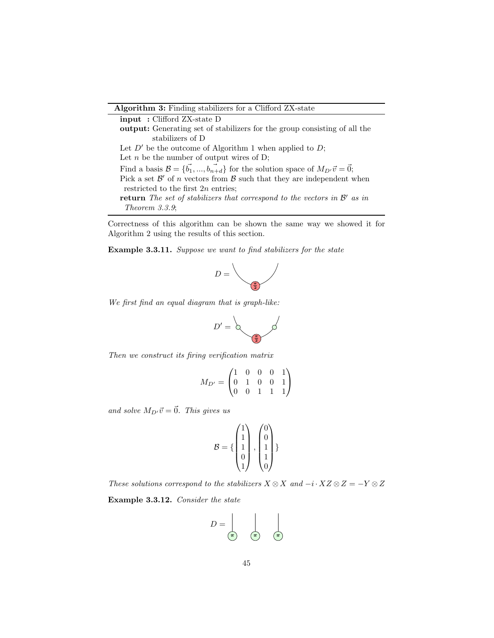Algorithm 3: Finding stabilizers for a Clifford ZX-state

input : Clifford ZX-state D output: Generating set of stabilizers for the group consisting of all the stabilizers of D Let  $D'$  be the outcome of Algorithm 1 when applied to  $D$ ; Let  $n$  be the number of output wires of D; Find a basis  $\mathcal{B} = \{\vec{b_1}, ..., \vec{b_{n+d}}\}$  for the solution space of  $M_{D'}\vec{v} = \vec{0}$ ; Pick a set  $\mathcal{B}'$  of n vectors from  $\mathcal{B}$  such that they are independent when restricted to the first 2n entries; return The set of stabilizers that correspond to the vectors in  $\mathcal{B}'$  as in Theorem 3.3.9;

Correctness of this algorithm can be shown the same way we showed it for Algorithm 2 using the results of this section.

Example 3.3.11. Suppose we want to find stabilizers for the state



We first find an equal diagram that is graph-like:



Then we construct its firing verification matrix

$$
M_{D'} = \begin{pmatrix} 1 & 0 & 0 & 0 & 1 \\ 0 & 1 & 0 & 0 & 1 \\ 0 & 0 & 1 & 1 & 1 \end{pmatrix}
$$

and solve  $M_{D'}\vec{v} = \vec{0}$ . This gives us

$$
\mathcal{B} = \left\{ \begin{pmatrix} 1 \\ 1 \\ 1 \\ 0 \\ 1 \end{pmatrix}, \begin{pmatrix} 0 \\ 0 \\ 1 \\ 1 \\ 0 \end{pmatrix} \right\}
$$

These solutions correspond to the stabilizers  $X \otimes X$  and  $-i \cdot XZ \otimes Z = -Y \otimes Z$ 

Example 3.3.12. Consider the state

$$
D = \begin{bmatrix} \overline{\phantom{a}} & \overline{\phantom{a}} \\ \overline{\phantom{a}} & \overline{\phantom{a}} & \overline{\phantom{a}} \end{bmatrix}
$$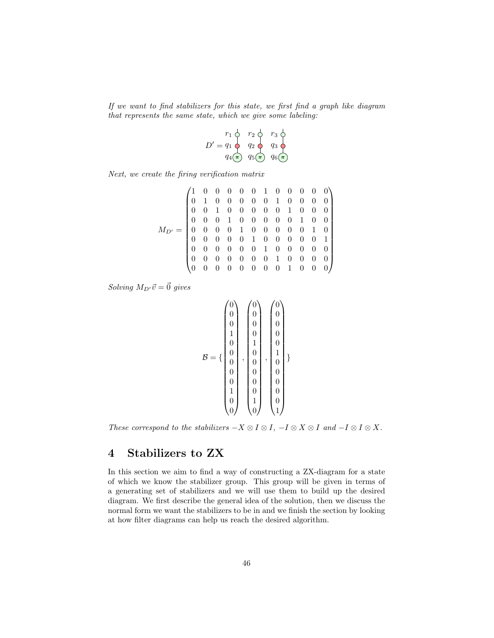If we want to find stabilizers for this state, we first find a graph like diagram that represents the same state, which we give some labeling:



Next, we create the firing verification matrix

$$
M_{D'} = \begin{pmatrix} 1 & 0 & 0 & 0 & 0 & 0 & 1 & 0 & 0 & 0 & 0 & 0 \\ 0 & 1 & 0 & 0 & 0 & 0 & 0 & 1 & 0 & 0 & 0 & 0 \\ 0 & 0 & 1 & 0 & 0 & 0 & 0 & 0 & 1 & 0 & 0 & 0 \\ 0 & 0 & 0 & 1 & 0 & 0 & 0 & 0 & 0 & 1 & 0 & 0 \\ 0 & 0 & 0 & 0 & 1 & 0 & 0 & 0 & 0 & 0 & 1 & 0 \\ 0 & 0 & 0 & 0 & 0 & 1 & 0 & 0 & 0 & 0 & 0 & 1 \\ 0 & 0 & 0 & 0 & 0 & 0 & 1 & 0 & 0 & 0 & 0 & 0 \\ 0 & 0 & 0 & 0 & 0 & 0 & 0 & 1 & 0 & 0 & 0 & 0 \\ 0 & 0 & 0 & 0 & 0 & 0 & 0 & 0 & 1 & 0 & 0 & 0 \end{pmatrix}
$$

Solving  $M_{D'}\vec{v} = \vec{0}$  gives

$$
\mathcal{B} = \left\{ \begin{bmatrix} 0 \\ 0 \\ 0 \\ 1 \\ 0 \\ 0 \\ 0 \\ 0 \\ 0 \\ 0 \\ 0 \\ 1 \\ 0 \\ 0 \\ 0 \\ 0 \end{bmatrix}, \begin{bmatrix} 0 \\ 0 \\ 0 \\ 0 \\ 1 \\ 0 \\ 0 \\ 0 \\ 0 \\ 0 \\ 1 \\ 0 \\ 0 \\ 1 \\ 0 \\ 0 \\ 1 \end{bmatrix}, \begin{bmatrix} 0 \\ 0 \\ 0 \\ 0 \\ 0 \\ 0 \\ 0 \\ 0 \\ 0 \\ 0 \\ 0 \\ 1 \\ 0 \\ 0 \\ 1 \end{bmatrix} \right\}
$$

These correspond to the stabilizers  $-X \otimes I \otimes I$ ,  $-I \otimes X \otimes I$  and  $-I \otimes I \otimes X$ .

# 4 Stabilizers to ZX

In this section we aim to find a way of constructing a ZX-diagram for a state of which we know the stabilizer group. This group will be given in terms of a generating set of stabilizers and we will use them to build up the desired diagram. We first describe the general idea of the solution, then we discuss the normal form we want the stabilizers to be in and we finish the section by looking at how filter diagrams can help us reach the desired algorithm.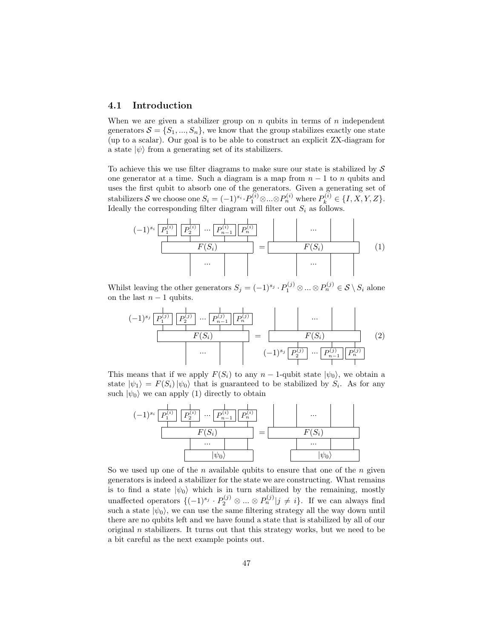### 4.1 Introduction

When we are given a stabilizer group on n qubits in terms of n independent generators  $S = \{S_1, ..., S_n\}$ , we know that the group stabilizes exactly one state (up to a scalar). Our goal is to be able to construct an explicit ZX-diagram for a state  $|\psi\rangle$  from a generating set of its stabilizers.

To achieve this we use filter diagrams to make sure our state is stabilized by  $\mathcal S$ one generator at a time. Such a diagram is a map from  $n-1$  to n qubits and uses the first qubit to absorb one of the generators. Given a generating set of stabilizers S we choose one  $S_i = (-1)^{s_i} \cdot P_1^{(i)} \otimes ... \otimes P_n^{(i)}$  where  $P_k^{(i)} \in \{I, X, Y, Z\}$ . Ideally the corresponding filter diagram will filter out  $S_i$  as follows.

$$
(-1)^{s_i} \underbrace{\overbrace{P_1^{(i)}}^{\mid} \overbrace{P_2^{(i)}}^{\mid} \cdots \overbrace{P_{n-1}^{(i)}}^{\mid} \overbrace{P_n^{(i)}}^{\mid}}_{\cdots} = \underbrace{\begin{array}{c} \cdots \\ F(S_i) \end{array}}_{\cdots} \qquad (1)
$$

Whilst leaving the other generators  $S_j = (-1)^{s_j} \cdot P_1^{(j)} \otimes ... \otimes P_n^{(j)} \in \mathcal{S} \setminus S_i$  alone on the last  $n-1$  qubits.

$$
(-1)^{s_j} \underbrace{\frac{1}{P_1^{(j)}} \left[ \frac{1}{P_2^{(j)}} \cdots \frac{1}{P_{n-1}^{(j)}} \right] \frac{1}{P_n^{(j)}}}_{\cdots} }_{\cdots} = \underbrace{\frac{\cdots}{F(S_i)} \cdots \cdots}_{(-1)^{s_j} \left[ \frac{1}{P_2^{(j)}} \cdots \frac{1}{P_{n-1}^{(j)}} \right] \frac{1}{P_n^{(j)}}}_{\cdots}
$$
 (2)

This means that if we apply  $F(S_i)$  to any  $n-1$ -qubit state  $|\psi_0\rangle$ , we obtain a state  $|\psi_1\rangle = F(S_i)|\psi_0\rangle$  that is guaranteed to be stabilized by  $S_i$ . As for any such  $|\psi_0\rangle$  we can apply (1) directly to obtain



So we used up one of the *n* available qubits to ensure that one of the *n* given generators is indeed a stabilizer for the state we are constructing. What remains is to find a state  $|\psi_0\rangle$  which is in turn stabilized by the remaining, mostly unaffected operators  $\{(-1)^{s_j} \cdot P_2^{(j)} \otimes ... \otimes P_n^{(j)} | j \neq i\}$ . If we can always find such a state  $|\psi_0\rangle$ , we can use the same filtering strategy all the way down until there are no qubits left and we have found a state that is stabilized by all of our original  $n$  stabilizers. It turns out that this strategy works, but we need to be a bit careful as the next example points out.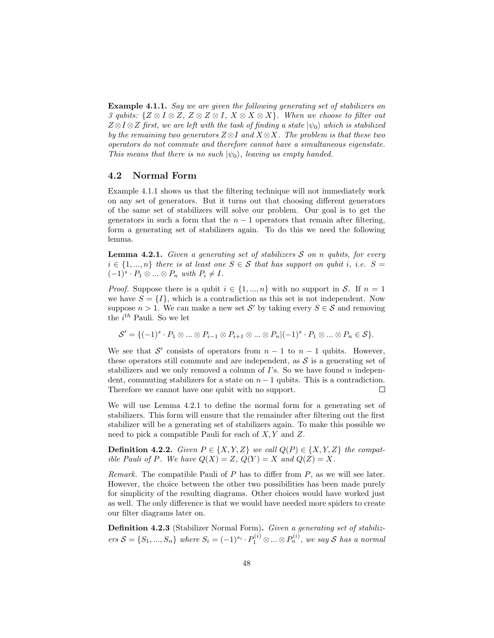Example 4.1.1. Say we are given the following generating set of stabilizers on 3 qubits:  $\{Z \otimes I \otimes Z, Z \otimes Z \otimes I, X \otimes X \otimes X\}$ . When we choose to filter out  $Z \otimes I \otimes Z$  first, we are left with the task of finding a state  $|\psi_0\rangle$  which is stabilized by the remaining two generators  $Z \otimes I$  and  $X \otimes X$ . The problem is that these two operators do not commute and therefore cannot have a simultaneous eigenstate. This means that there is no such  $|\psi_0\rangle$ , leaving us empty handed.

### 4.2 Normal Form

Example 4.1.1 shows us that the filtering technique will not immediately work on any set of generators. But it turns out that choosing different generators of the same set of stabilizers will solve our problem. Our goal is to get the generators in such a form that the  $n-1$  operators that remain after filtering, form a generating set of stabilizers again. To do this we need the following lemma.

**Lemma 4.2.1.** Given a generating set of stabilizers  $S$  on n qubits, for every  $i \in \{1, ..., n\}$  there is at least one  $S \in \mathcal{S}$  that has support on qubit i, i.e.  $S =$  $(-1)^s \cdot P_1 \otimes \ldots \otimes P_n$  with  $P_i \neq I$ .

*Proof.* Suppose there is a qubit  $i \in \{1, ..., n\}$  with no support in S. If  $n = 1$ we have  $S = \{I\}$ , which is a contradiction as this set is not independent. Now suppose  $n > 1$ . We can make a new set S' by taking every  $S \in \mathcal{S}$  and removing the  $i^{th}$  Pauli. So we let

$$
\mathcal{S}' = \{ (-1)^s \cdot P_1 \otimes \ldots \otimes P_{i-1} \otimes P_{i+1} \otimes \ldots \otimes P_n | (-1)^s \cdot P_1 \otimes \ldots \otimes P_n \in \mathcal{S} \}.
$$

We see that S' consists of operators from  $n-1$  to  $n-1$  qubits. However, these operators still commute and are independent, as  $\mathcal S$  is a generating set of stabilizers and we only removed a column of  $\Gamma$ 's. So we have found n independent, commuting stabilizers for a state on  $n - 1$  qubits. This is a contradiction. Therefore we cannot have one qubit with no support.  $\Box$ 

We will use Lemma 4.2.1 to define the normal form for a generating set of stabilizers. This form will ensure that the remainder after filtering out the first stabilizer will be a generating set of stabilizers again. To make this possible we need to pick a compatible Pauli for each of X, Y and Z.

**Definition 4.2.2.** Given  $P \in \{X, Y, Z\}$  we call  $Q(P) \in \{X, Y, Z\}$  the compatible Pauli of P. We have  $Q(X) = Z$ ,  $Q(Y) = X$  and  $Q(Z) = X$ .

Remark. The compatible Pauli of  $P$  has to differ from  $P$ , as we will see later. However, the choice between the other two possibilities has been made purely for simplicity of the resulting diagrams. Other choices would have worked just as well. The only difference is that we would have needed more spiders to create our filter diagrams later on.

Definition 4.2.3 (Stabilizer Normal Form). Given a generating set of stabilizers  $S = \{S_1, ..., S_n\}$  where  $S_i = (-1)^{s_i} \cdot P_1^{(i)} \otimes ... \otimes P_n^{(i)}$ , we say S has a normal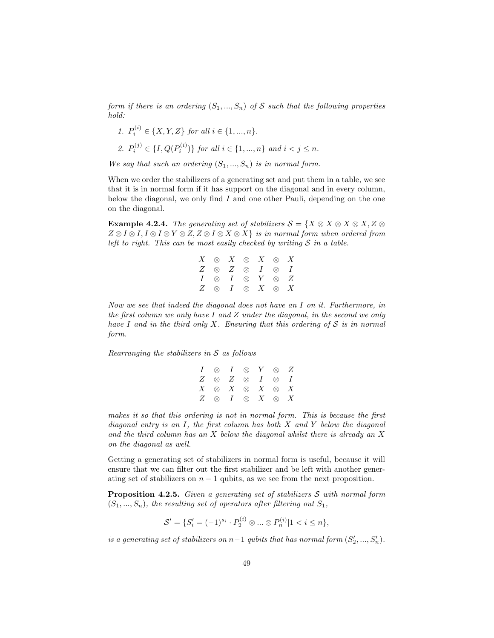form if there is an ordering  $(S_1, ..., S_n)$  of S such that the following properties hold:

\n- 1. 
$$
P_i^{(i)} \in \{X, Y, Z\}
$$
 for all  $i \in \{1, ..., n\}$ .
\n- 2.  $P_i^{(j)} \in \{I, Q(P_i^{(i)})\}$  for all  $i \in \{1, ..., n\}$  and  $i < j \leq n$ .
\n

We say that such an ordering  $(S_1, ..., S_n)$  is in normal form.

When we order the stabilizers of a generating set and put them in a table, we see that it is in normal form if it has support on the diagonal and in every column, below the diagonal, we only find  $I$  and one other Pauli, depending on the one on the diagonal.

**Example 4.2.4.** The generating set of stabilizers  $S = \{X \otimes X \otimes X \otimes X, Z \otimes Z\}$  $Z \otimes I \otimes I$ ,  $I \otimes I \otimes Y \otimes Z$ ,  $Z \otimes I \otimes X \otimes X$  is in normal form when ordered from left to right. This can be most easily checked by writing  $S$  in a table.

|  | $X \otimes X \otimes X \otimes X$ |  |  |
|--|-----------------------------------|--|--|
|  | $Z \otimes Z \otimes I \otimes I$ |  |  |
|  | $I \otimes I \otimes Y \otimes Z$ |  |  |
|  | $Z \otimes I \otimes X \otimes X$ |  |  |

Now we see that indeed the diagonal does not have an I on it. Furthermore, in the first column we only have  $I$  and  $Z$  under the diagonal, in the second we only have I and in the third only X. Ensuring that this ordering of  $S$  is in normal form.

Rearranging the stabilizers in  $S$  as follows

|  | $I \otimes I \otimes Y \otimes Z$ |  |  |
|--|-----------------------------------|--|--|
|  | $Z \otimes Z \otimes I \otimes I$ |  |  |
|  | $X \otimes X \otimes X \otimes X$ |  |  |
|  | $Z \otimes I \otimes X \otimes X$ |  |  |

makes it so that this ordering is not in normal form. This is because the first diagonal entry is an  $I$ , the first column has both  $X$  and  $Y$  below the diagonal and the third column has an  $X$  below the diagonal whilst there is already an  $X$ on the diagonal as well.

Getting a generating set of stabilizers in normal form is useful, because it will ensure that we can filter out the first stabilizer and be left with another generating set of stabilizers on  $n - 1$  qubits, as we see from the next proposition.

**Proposition 4.2.5.** Given a generating set of stabilizers  $S$  with normal form  $(S_1, ..., S_n)$ , the resulting set of operators after filtering out  $S_1$ ,

$$
\mathcal{S}' = \{ S'_i = (-1)^{s_i} \cdot P_2^{(i)} \otimes \dots \otimes P_n^{(i)} | 1 < i \le n \},\
$$

is a generating set of stabilizers on  $n-1$  qubits that has normal form  $(S'_2, ..., S'_n)$ .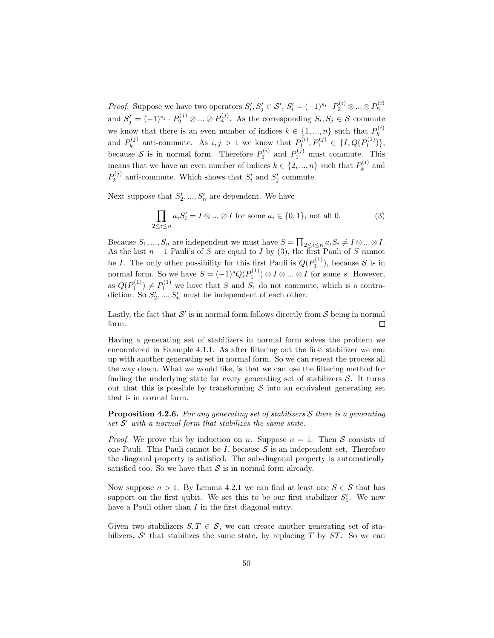*Proof.* Suppose we have two operators  $S'_i, S'_j \in \mathcal{S}'$ ,  $S'_i = (-1)^{s_i} \cdot P_2^{(i)} \otimes ... \otimes P_n^{(i)}$ and  $S'_j = (-1)^{s_j} \cdot P_2^{(j)} \otimes ... \otimes P_n^{(j)}$ . As the corresponding  $S_i, S_j \in \mathcal{S}$  commute we know that there is an even number of indices  $k \in \{1, ..., n\}$  such that  $P_k^{(i)}$ k and  $P_k^{(j)}$ (i) anti-commute. As  $i, j > 1$  we know that  $P_1^{(i)}, P_1^{(j)} \in \{I, Q(P_1^{(1)})\},\$ because S is in normal form. Therefore  $P_1^{(i)}$  and  $P_1^{(j)}$  must commute. This means that we have an even number of indices  $k \in \{2, ..., n\}$  such that  $P_k^{(i)}$  $\boldsymbol{h}_k^{(i)}$  and  $P_k^{(j)}$  $s_k^{(j)}$  anti-commute. Which shows that  $S_i'$  and  $S_j'$  commute.

Next suppose that  $S'_2, ..., S'_n$  are dependent. We have

$$
\prod_{2 \le i \le n} a_i S'_i = I \otimes \dots \otimes I \text{ for some } a_i \in \{0, 1\}, \text{ not all } 0.
$$
 (3)

Because  $S_1, ..., S_n$  are independent we must have  $S = \prod_{2 \leq i \leq n} a_i S_i \neq I \otimes ... \otimes I$ . As the last  $n-1$  Pauli's of S are equal to I by (3), the first Pauli of S cannot be I. The only other possibility for this first Pauli is  $Q(P_1^{(1)})$ , because S is in normal form. So we have  $S = (-1)^s Q(P_1^{(1)}) \otimes I \otimes ... \otimes I$  for some s. However, as  $Q(P_1^{(1)}) \neq P_1^{(1)}$  we have that S and S<sub>1</sub> do not commute, which is a contradiction. So  $S'_2, ..., S'_n$  must be independent of each other.

Lastly, the fact that  $\mathcal{S}'$  is in normal form follows directly from  $\mathcal{S}$  being in normal  $\Box$ form.

Having a generating set of stabilizers in normal form solves the problem we encountered in Example 4.1.1. As after filtering out the first stabilizer we end up with another generating set in normal form. So we can repeat the process all the way down. What we would like, is that we can use the filtering method for finding the underlying state for every generating set of stabilizers  $S$ . It turns out that this is possible by transforming  $S$  into an equivalent generating set that is in normal form.

**Proposition 4.2.6.** For any generating set of stabilizers S there is a generating set  $\mathcal{S}'$  with a normal form that stabilizes the same state.

*Proof.* We prove this by induction on n. Suppose  $n = 1$ . Then S consists of one Pauli. This Pauli cannot be  $I$ , because  $S$  is an independent set. Therefore the diagonal property is satisfied. The sub-diagonal property is automatically satisfied too. So we have that  $S$  is in normal form already.

Now suppose  $n > 1$ . By Lemma 4.2.1 we can find at least one  $S \in \mathcal{S}$  that has support on the first qubit. We set this to be our first stabilizer  $S'_1$ . We now have a Pauli other than I in the first diagonal entry.

Given two stabilizers  $S, T \in \mathcal{S}$ , we can create another generating set of stabilizers,  $S'$  that stabilizes the same state, by replacing  $T$  by  $ST$ . So we can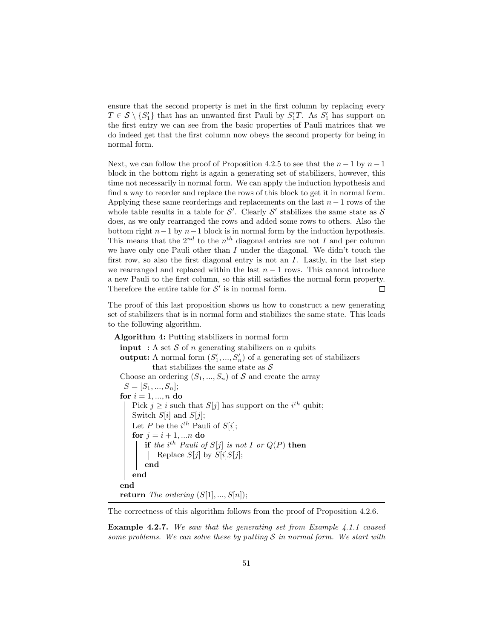ensure that the second property is met in the first column by replacing every  $T \in \mathcal{S} \setminus \{S_1'\}$  that has an unwanted first Pauli by  $S_1'T$ . As  $S_1'$  has support on the first entry we can see from the basic properties of Pauli matrices that we do indeed get that the first column now obeys the second property for being in normal form.

Next, we can follow the proof of Proposition 4.2.5 to see that the  $n-1$  by  $n-1$ block in the bottom right is again a generating set of stabilizers, however, this time not necessarily in normal form. We can apply the induction hypothesis and find a way to reorder and replace the rows of this block to get it in normal form. Applying these same reorderings and replacements on the last  $n-1$  rows of the whole table results in a table for  $\mathcal{S}'$ . Clearly  $\mathcal{S}'$  stabilizes the same state as  $\mathcal{S}$ does, as we only rearranged the rows and added some rows to others. Also the bottom right  $n-1$  by  $n-1$  block is in normal form by the induction hypothesis. This means that the  $2^{nd}$  to the  $n^{th}$  diagonal entries are not I and per column we have only one Pauli other than  $I$  under the diagonal. We didn't touch the first row, so also the first diagonal entry is not an  $I$ . Lastly, in the last step we rearranged and replaced within the last  $n - 1$  rows. This cannot introduce a new Pauli to the first column, so this still satisfies the normal form property. Therefore the entire table for  $\mathcal{S}'$  is in normal form.  $\Box$ 

The proof of this last proposition shows us how to construct a new generating set of stabilizers that is in normal form and stabilizes the same state. This leads to the following algorithm.

| <b>Algorithm 4:</b> Putting stabilizers in normal form                           |
|----------------------------------------------------------------------------------|
| <b>input</b> : A set S of n generating stabilizers on n qubits                   |
| <b>output:</b> A normal form $(S'_1, , S'_n)$ of a generating set of stabilizers |
| that stabilizes the same state as $\mathcal S$                                   |
| Choose an ordering $(S_1, , S_n)$ of S and create the array                      |
| $S = [S_1, , S_n];$                                                              |
| for $i = 1, , n$ do                                                              |
| Pick $j \geq i$ such that $S[j]$ has support on the $i^{th}$ qubit;              |
| Switch $S[i]$ and $S[j]$ ;                                                       |
| Let P be the $i^{th}$ Pauli of $S[i]$ ;                                          |
| for $j = i + 1,  n$ do                                                           |
| if the i <sup>th</sup> Pauli of $S[j]$ is not I or $Q(P)$ then                   |
| Replace $S[j]$ by $S[i]S[j]$ ;                                                   |
| end                                                                              |
| end                                                                              |
| end                                                                              |
| <b>return</b> The ordering $(S[1], , S[n])$ ;                                    |

The correctness of this algorithm follows from the proof of Proposition 4.2.6.

Example 4.2.7. We saw that the generating set from Example 4.1.1 caused some problems. We can solve these by putting  $S$  in normal form. We start with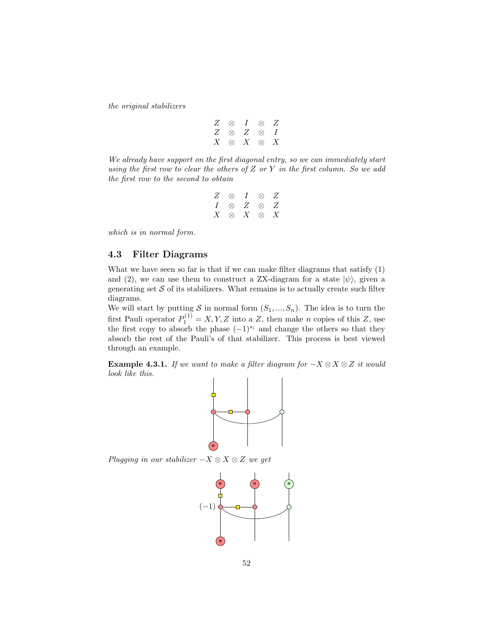the original stabilizers

|  | $Z \otimes I \otimes Z$ |  |
|--|-------------------------|--|
|  | $Z \otimes Z \otimes I$ |  |
|  | $X \otimes X \otimes X$ |  |

We already have support on the first diagonal entry, so we can immediately start using the first row to clear the others of  $Z$  or  $Y$  in the first column. So we add the first row to the second to obtain

|  | $Z \otimes I \otimes Z$ |  |
|--|-------------------------|--|
|  | $I \otimes Z \otimes Z$ |  |
|  | $X \otimes X \otimes X$ |  |

which is in normal form.

## 4.3 Filter Diagrams

What we have seen so far is that if we can make filter diagrams that satisfy (1) and (2), we can use them to construct a ZX-diagram for a state  $|\psi\rangle$ , given a generating set  $S$  of its stabilizers. What remains is to actually create such filter diagrams.

We will start by putting S in normal form  $(S_1, ..., S_n)$ . The idea is to turn the first Pauli operator  $P_1^{(1)} = X, Y, Z$  into a Z, then make n copies of this Z, use the first copy to absorb the phase  $(-1)^{s_i}$  and change the others so that they absorb the rest of the Pauli's of that stabilizer. This process is best viewed through an example.

**Example 4.3.1.** If we want to make a filter diagram for  $-X \otimes X \otimes Z$  it would look like this.



Plugging in our stabilizer  $-X \otimes X \otimes Z$  we get

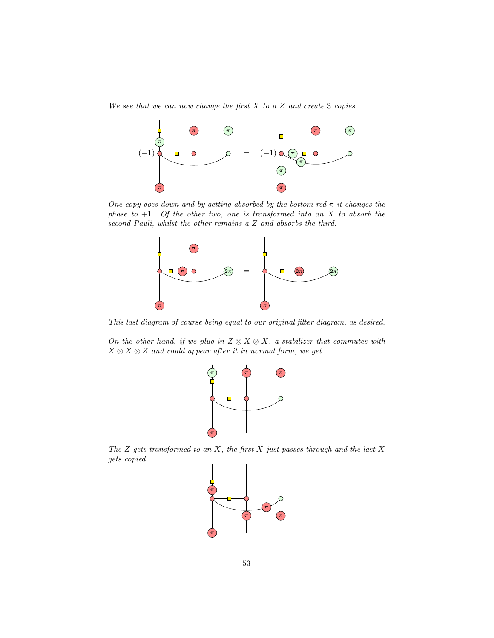We see that we can now change the first  $X$  to a  $Z$  and create 3 copies.



One copy goes down and by getting absorbed by the bottom red  $\pi$  it changes the phase to  $+1$ . Of the other two, one is transformed into an X to absorb the second Pauli, whilst the other remains a Z and absorbs the third.



This last diagram of course being equal to our original filter diagram, as desired.

On the other hand, if we plug in  $Z \otimes X \otimes X$ , a stabilizer that commutes with  $X \otimes X \otimes Z$  and could appear after it in normal form, we get



The  $Z$  gets transformed to an  $X$ , the first  $X$  just passes through and the last  $X$ gets copied.

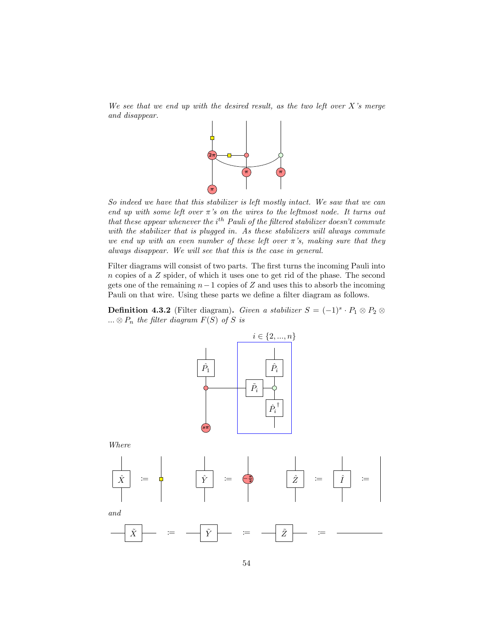We see that we end up with the desired result, as the two left over  $X$ 's merge and disappear.



So indeed we have that this stabilizer is left mostly intact. We saw that we can end up with some left over  $\pi$ 's on the wires to the leftmost node. It turns out that these appear whenever the  $i^{th}$  Pauli of the filtered stabilizer doesn't commute with the stabilizer that is plugged in. As these stabilizers will always commute we end up with an even number of these left over  $\pi$ 's, making sure that they always disappear. We will see that this is the case in general.

Filter diagrams will consist of two parts. The first turns the incoming Pauli into  $n$  copies of a  $Z$  spider, of which it uses one to get rid of the phase. The second gets one of the remaining  $n-1$  copies of Z and uses this to absorb the incoming Pauli on that wire. Using these parts we define a filter diagram as follows.

**Definition 4.3.2** (Filter diagram). Given a stabilizer  $S = (-1)^s \cdot P_1 \otimes P_2 \otimes P_1$ ...  $\otimes P_n$  the filter diagram  $F(S)$  of S is

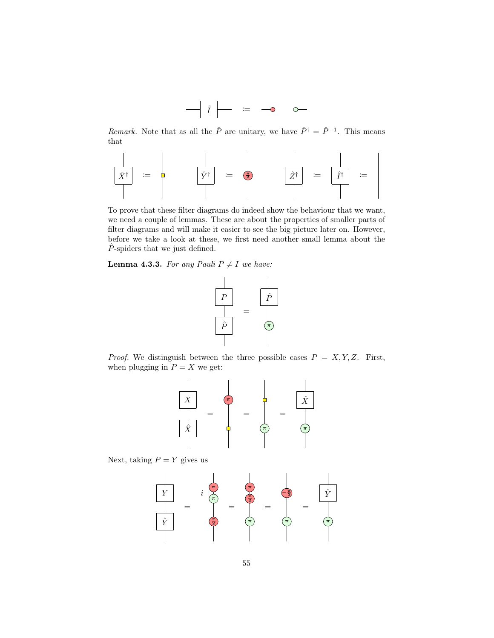

*Remark*. Note that as all the  $\hat{P}$  are unitary, we have  $\hat{P}^{\dagger} = \hat{P}^{-1}$ . This means that

Xˆ † := Yˆ † := π <sup>2</sup> Zˆ† := ˆI † :=

To prove that these filter diagrams do indeed show the behaviour that we want, we need a couple of lemmas. These are about the properties of smaller parts of filter diagrams and will make it easier to see the big picture later on. However, before we take a look at these, we first need another small lemma about the  $\ddot{P}$ -spiders that we just defined.

**Lemma 4.3.3.** For any Pauli  $P \neq I$  we have:



*Proof.* We distinguish between the three possible cases  $P = X, Y, Z$ . First, when plugging in  $P = X$  we get:



Next, taking  $P = Y$  gives us

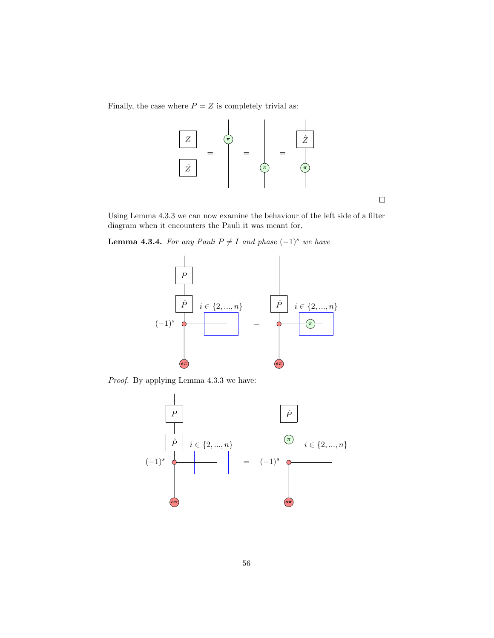Finally, the case where  $P = Z$  is completely trivial as:



Using Lemma 4.3.3 we can now examine the behaviour of the left side of a filter diagram when it encounters the Pauli it was meant for.

**Lemma 4.3.4.** For any Pauli  $P \neq I$  and phase  $(-1)^s$  we have



Proof. By applying Lemma 4.3.3 we have:



 $\Box$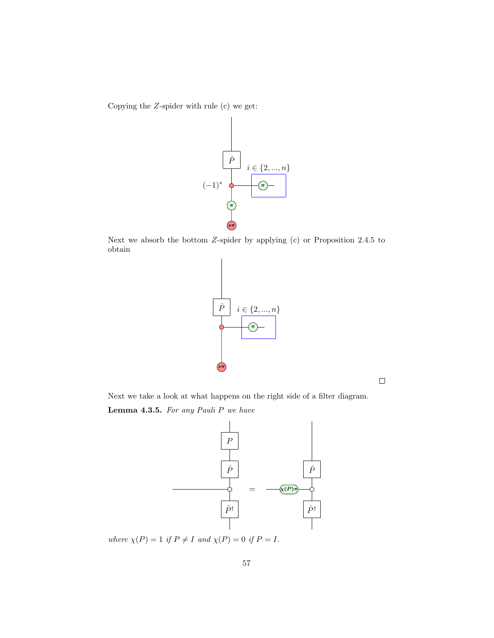Copying the Z-spider with rule (c) we get:



Next we absorb the bottom Z-spider by applying (c) or Proposition 2.4.5 to obtain



 $\Box$ 

Next we take a look at what happens on the right side of a filter diagram. Lemma 4.3.5. For any Pauli P we have



where  $\chi(P) = 1$  if  $P \neq I$  and  $\chi(P) = 0$  if  $P = I$ .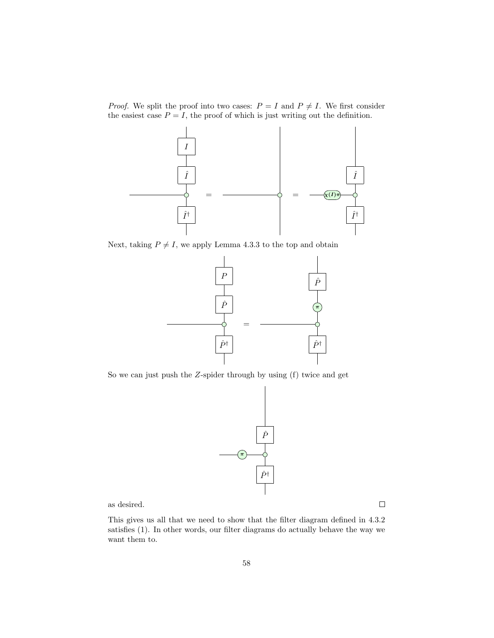*Proof.* We split the proof into two cases:  $P = I$  and  $P \neq I$ . We first consider the easiest case  $P = I$ , the proof of which is just writing out the definition.



Next, taking  $P \neq I$ , we apply Lemma 4.3.3 to the top and obtain



So we can just push the Z-spider through by using (f) twice and get



as desired.

This gives us all that we need to show that the filter diagram defined in 4.3.2 satisfies (1). In other words, our filter diagrams do actually behave the way we want them to.

 $\Box$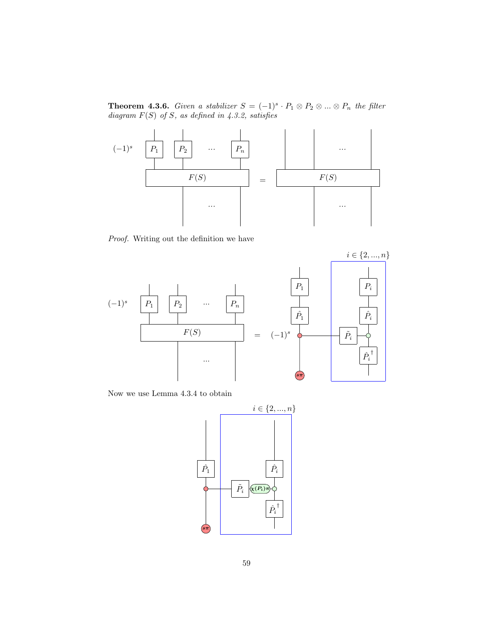**Theorem 4.3.6.** Given a stabilizer  $S = (-1)^s \cdot P_1 \otimes P_2 \otimes ... \otimes P_n$  the filter diagram  $F(S)$  of S, as defined in 4.3.2, satisfies



Proof. Writing out the definition we have



Now we use Lemma 4.3.4 to obtain

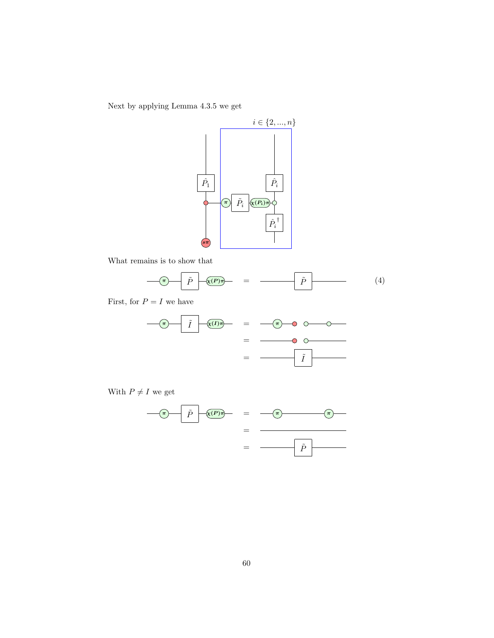Next by applying Lemma 4.3.5 we get



What remains is to show that

$$
\widehat{\mathbf{p}} \quad \widehat{p} \quad \widehat{p} \quad (4)
$$

First, for  $P = I$  we have





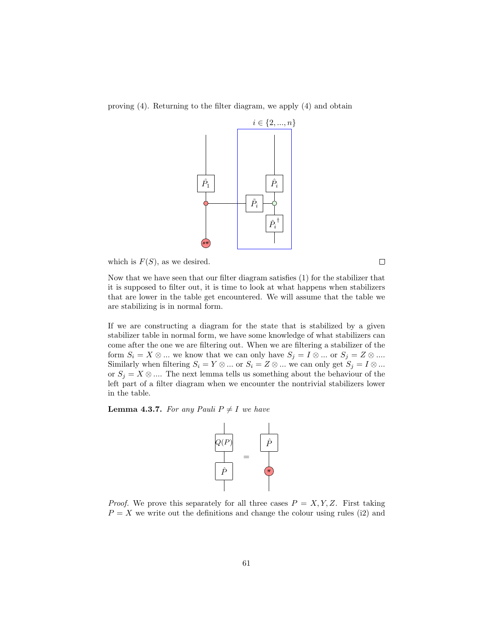proving (4). Returning to the filter diagram, we apply (4) and obtain



which is  $F(S)$ , as we desired.

Now that we have seen that our filter diagram satisfies (1) for the stabilizer that it is supposed to filter out, it is time to look at what happens when stabilizers that are lower in the table get encountered. We will assume that the table we are stabilizing is in normal form.

If we are constructing a diagram for the state that is stabilized by a given stabilizer table in normal form, we have some knowledge of what stabilizers can come after the one we are filtering out. When we are filtering a stabilizer of the form  $S_i = X \otimes \dots$  we know that we can only have  $S_j = I \otimes \dots$  or  $S_j = Z \otimes \dots$ Similarly when filtering  $S_i = Y \otimes ...$  or  $S_i = Z \otimes ...$  we can only get  $S_j = I \otimes ...$ or  $S_i = X \otimes \dots$  The next lemma tells us something about the behaviour of the left part of a filter diagram when we encounter the nontrivial stabilizers lower in the table.

**Lemma 4.3.7.** For any Pauli  $P \neq I$  we have



*Proof.* We prove this separately for all three cases  $P = X, Y, Z$ . First taking  $P = X$  we write out the definitions and change the colour using rules (i2) and

 $\Box$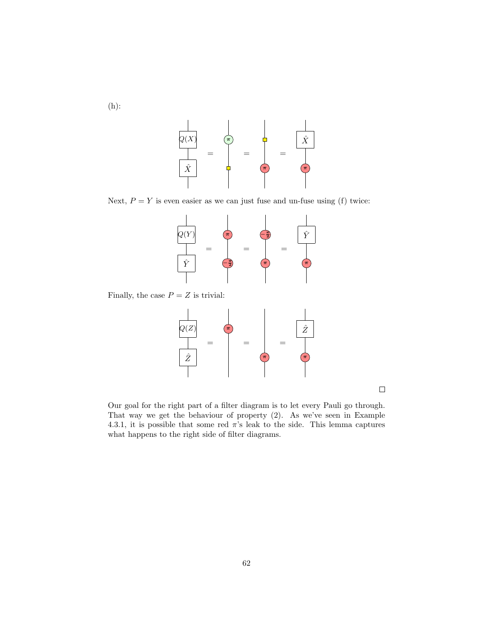(h):



Next,  $P = Y$  is even easier as we can just fuse and un-fuse using (f) twice:



Finally, the case  $P = Z$  is trivial:



 $\Box$ 

Our goal for the right part of a filter diagram is to let every Pauli go through. That way we get the behaviour of property (2). As we've seen in Example 4.3.1, it is possible that some red  $\pi$ 's leak to the side. This lemma captures what happens to the right side of filter diagrams.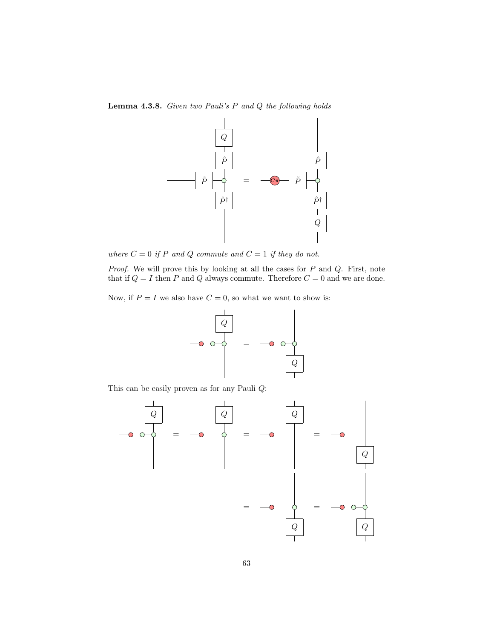Lemma 4.3.8. Given two Pauli's P and Q the following holds



where  $C = 0$  if P and Q commute and  $C = 1$  if they do not.

Proof. We will prove this by looking at all the cases for P and Q. First, note that if  $Q = I$  then  $P$  and  $Q$  always commute. Therefore  $C = 0$  and we are done.

Now, if  $P = I$  we also have  $C = 0$ , so what we want to show is:



This can be easily proven as for any Pauli Q:

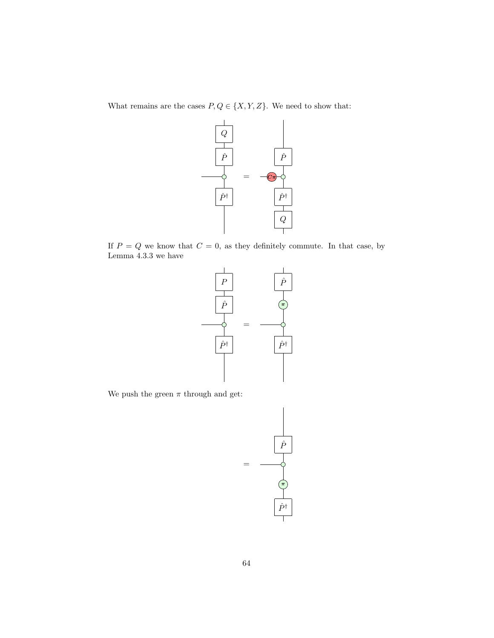What remains are the cases  $P,Q\in\{X,Y,Z\}.$  We need to show that:



If  $P = Q$  we know that  $C = 0$ , as they definitely commute. In that case, by Lemma 4.3.3 we have



We push the green  $\pi$  through and get:

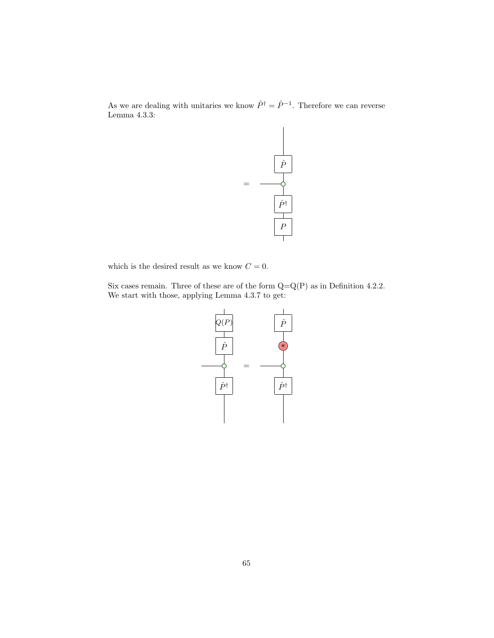As we are dealing with unitaries we know  $\hat{P}^{\dagger} = \hat{P}^{-1}$ . Therefore we can reverse Lemma 4.3.3:



which is the desired result as we know  $C = 0$ .

Six cases remain. Three of these are of the form  $Q=Q(P)$  as in Definition 4.2.2. We start with those, applying Lemma 4.3.7 to get:

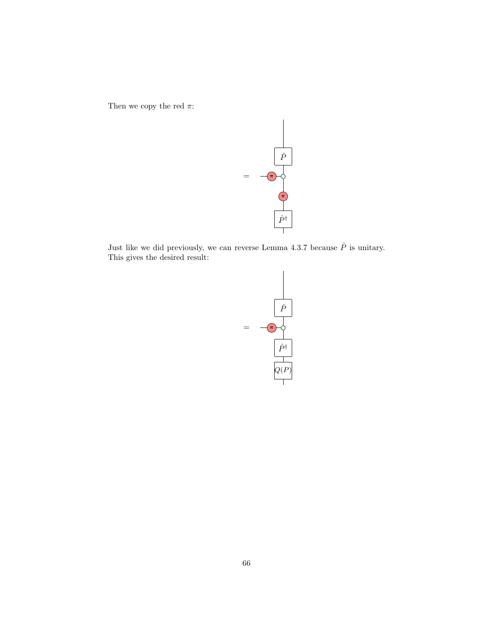Then we copy the red  $\pi:$ 



Just like we did previously, we can reverse Lemma 4.3.7 because  $\hat{P}$  is unitary. This gives the desired result:

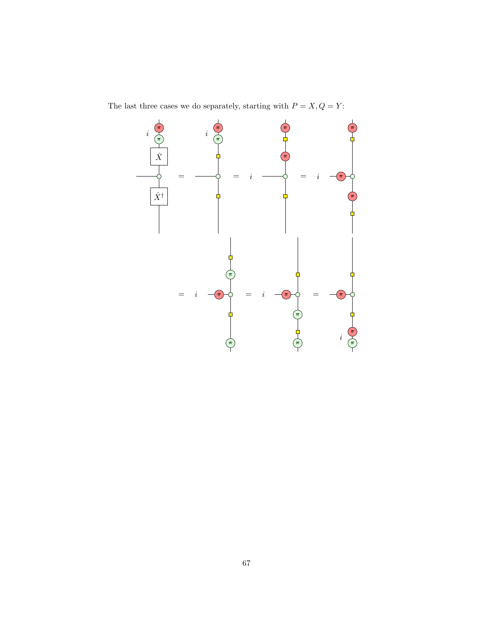The last three cases we do separately, starting with  $P=X,Q=Y\!$  :

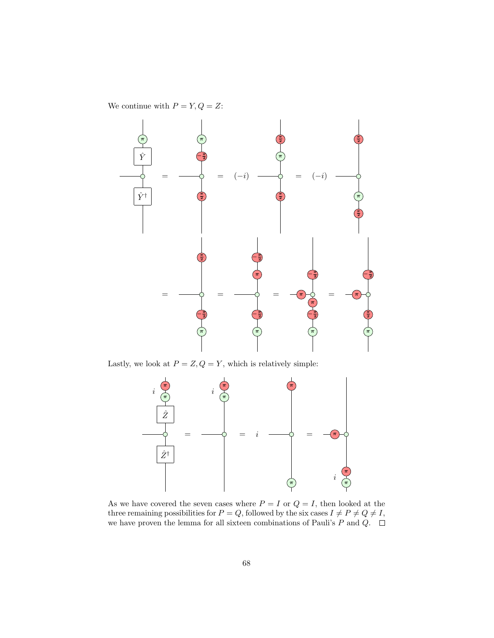We continue with  $P=Y,Q=Z\mathrm{:}$ 



Lastly, we look at  $P=Z, {\cal Q}=Y,$  which is relatively simple:



As we have covered the seven cases where  $P = I$  or  $Q = I$ , then looked at the three remaining possibilities for  $P = Q$ , followed by the six cases  $I \neq P \neq Q \neq I$ , we have proven the lemma for all sixteen combinations of Pauli's P and Q.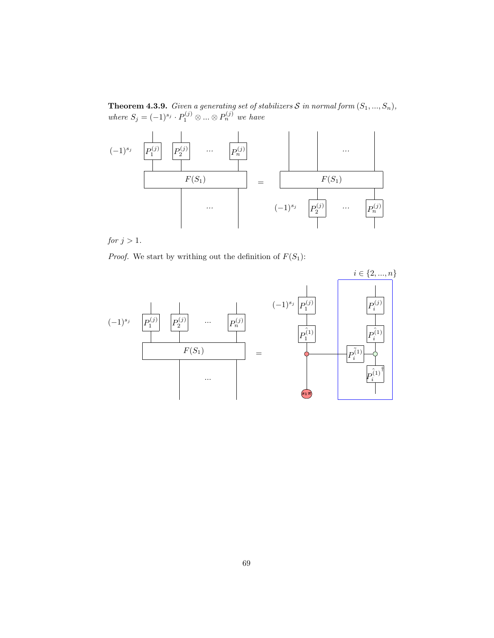**Theorem 4.3.9.** Given a generating set of stabilizers  $S$  in normal form  $(S_1, ..., S_n)$ , where  $S_j = (-1)^{s_j} \cdot P_1^{(j)} \otimes ... \otimes P_n^{(j)}$  we have



for  $j > 1$ .

*Proof.* We start by writhing out the definition of  $F(S_1)$ :

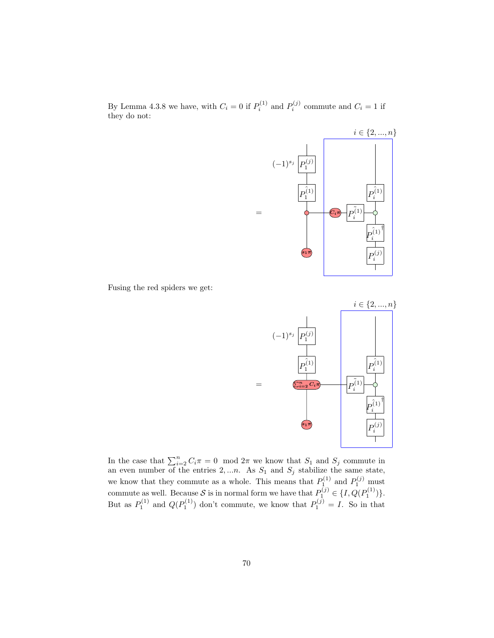By Lemma 4.3.8 we have, with  $C_i = 0$  if  $P_i^{(1)}$  and  $P_i^{(j)}$  commute and  $C_i = 1$  if they do not:



Fusing the red spiders we get:



In the case that  $\sum_{i=2}^{n} C_i \pi = 0 \mod 2\pi$  we know that  $S_1$  and  $S_j$  commute in an even number of the entries  $2,...n$ . As  $S_1$  and  $S_j$  stabilize the same state, we know that they commute as a whole. This means that  $P_1^{(1)}$  and  $P_1^{(j)}$  must commute as well. Because S is in normal form we have that  $P_1^{(j)} \in \{I, Q(P_1^{(1)})\}$ . But as  $P_1^{(1)}$  and  $Q(P_1^{(1)})$  don't commute, we know that  $P_1^{(j)} = I$ . So in that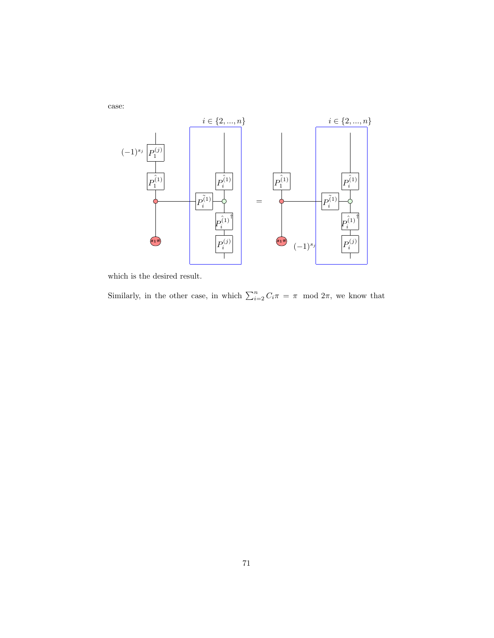

which is the desired result.

Similarly, in the other case, in which  $\sum_{i=2}^{n} C_i \pi = \pi \mod 2\pi$ , we know that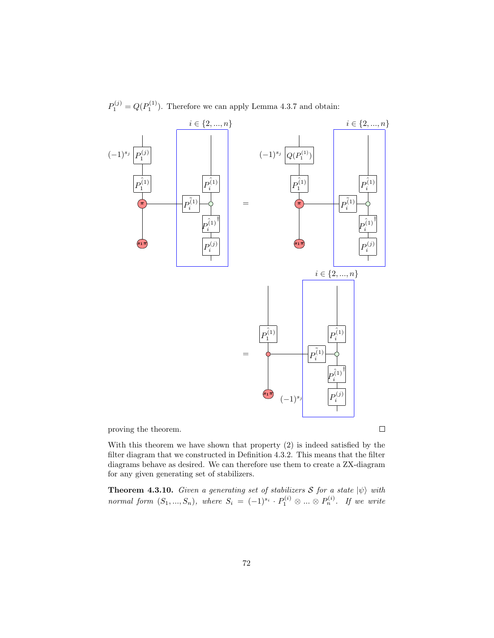

 $P_1^{(j)} = Q(P_1^{(1)})$ . Therefore we can apply Lemma 4.3.7 and obtain:

proving the theorem.

With this theorem we have shown that property (2) is indeed satisfied by the filter diagram that we constructed in Definition 4.3.2. This means that the filter diagrams behave as desired. We can therefore use them to create a ZX-diagram for any given generating set of stabilizers.

**Theorem 4.3.10.** Given a generating set of stabilizers S for a state  $|\psi\rangle$  with normal form  $(S_1, ..., S_n)$ , where  $S_i = (-1)^{s_i} \cdot P_1^{(i)} \otimes ... \otimes P_n^{(i)}$ . If we write

 $\Box$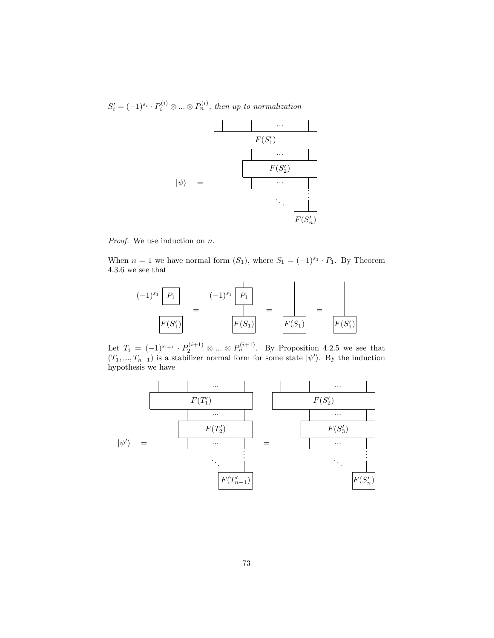$S_i' = (-1)^{s_i} \cdot P_i^{(i)} \otimes \ldots \otimes P_n^{(i)}$ , then up to normalization



Proof. We use induction on n.

When  $n = 1$  we have normal form  $(S_1)$ , where  $S_1 = (-1)^{s_1} \cdot P_1$ . By Theorem 4.3.6 we see that



Let  $T_i = (-1)^{s_{i+1}} \cdot P_2^{(i+1)} \otimes ... \otimes P_n^{(i+1)}$ . By Proposition 4.2.5 we see that  $(T_1, ..., T_{n-1})$  is a stabilizer normal form for some state  $|\psi'\rangle$ . By the induction hypothesis we have

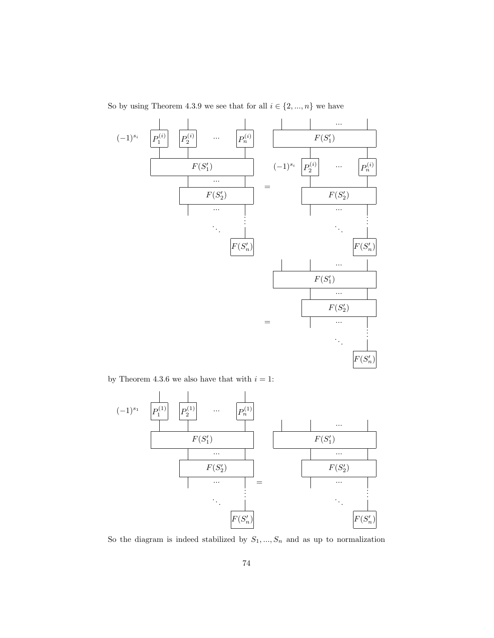So by using Theorem 4.3.9 we see that for all  $i\in\{2,...,n\}$  we have



by Theorem 4.3.6 we also have that with  $i=1\mathrm{:}$ 



So the diagram is indeed stabilized by  $S_1, ..., S_n$  and as up to normalization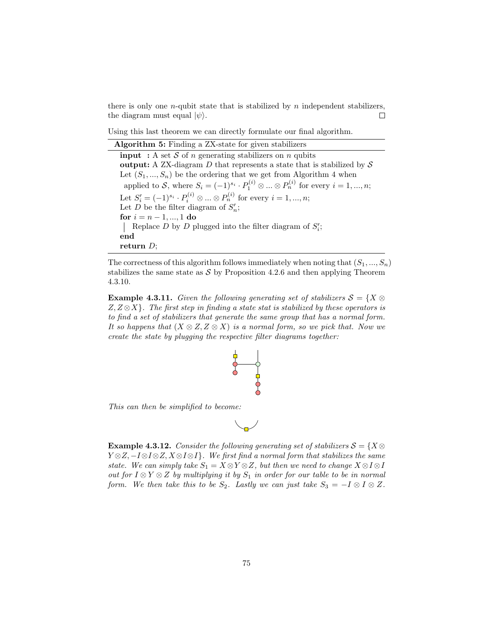there is only one  $n$ -qubit state that is stabilized by  $n$  independent stabilizers, the diagram must equal  $|\psi\rangle$ .  $\Box$ 

Using this last theorem we can directly formulate our final algorithm.

Algorithm 5: Finding a ZX-state for given stabilizers **input** : A set S of n generating stabilizers on n qubits output: A ZX-diagram  $D$  that represents a state that is stabilized by  $S$ Let  $(S_1, ..., S_n)$  be the ordering that we get from Algorithm 4 when applied to S, where  $S_i = (-1)^{s_i} \cdot P_1^{(i)} \otimes \dots \otimes P_n^{(i)}$  for every  $i = 1, ..., n$ ; Let  $S'_{i} = (-1)^{s_i} \cdot P_i^{(i)} \otimes ... \otimes P_n^{(i)}$  for every  $i = 1, ..., n$ ; Let D be the filter diagram of  $S_n'$ ; for  $i = n - 1, ..., 1$  do Replace  $D$  by  $D$  plugged into the filter diagram of  $S_i'$ ; end return D;

The correctness of this algorithm follows immediately when noting that  $(S_1, ..., S_n)$ stabilizes the same state as  $\mathcal S$  by Proposition 4.2.6 and then applying Theorem 4.3.10.

**Example 4.3.11.** Given the following generating set of stabilizers  $S = \{X \otimes$  $Z, Z \otimes X$ . The first step in finding a state stat is stabilized by these operators is to find a set of stabilizers that generate the same group that has a normal form. It so happens that  $(X \otimes Z, Z \otimes X)$  is a normal form, so we pick that. Now we create the state by plugging the respective filter diagrams together:



This can then be simplified to become:



**Example 4.3.12.** Consider the following generating set of stabilizers  $S = \{X \otimes$  $Y \otimes Z, -I \otimes I \otimes Z, X \otimes I \otimes I$ . We first find a normal form that stabilizes the same state. We can simply take  $S_1 = X \otimes Y \otimes Z$ , but then we need to change  $X \otimes I \otimes I$ out for  $I \otimes Y \otimes Z$  by multiplying it by  $S_1$  in order for our table to be in normal form. We then take this to be  $S_2$ . Lastly we can just take  $S_3 = -I \otimes I \otimes Z$ .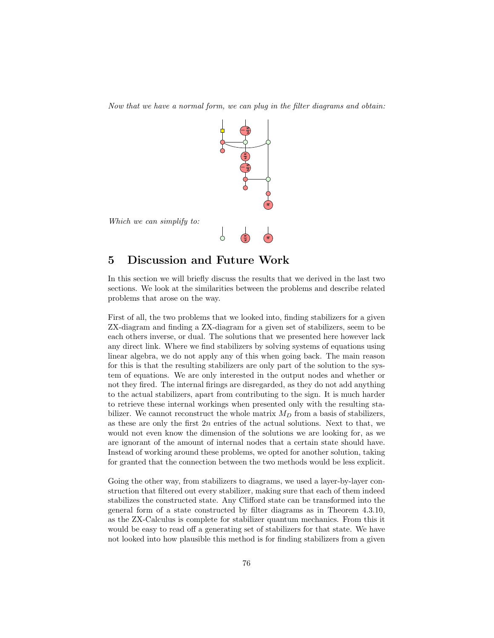Now that we have a normal form, we can plug in the filter diagrams and obtain:



## 5 Discussion and Future Work

In this section we will briefly discuss the results that we derived in the last two sections. We look at the similarities between the problems and describe related problems that arose on the way.

First of all, the two problems that we looked into, finding stabilizers for a given ZX-diagram and finding a ZX-diagram for a given set of stabilizers, seem to be each others inverse, or dual. The solutions that we presented here however lack any direct link. Where we find stabilizers by solving systems of equations using linear algebra, we do not apply any of this when going back. The main reason for this is that the resulting stabilizers are only part of the solution to the system of equations. We are only interested in the output nodes and whether or not they fired. The internal firings are disregarded, as they do not add anything to the actual stabilizers, apart from contributing to the sign. It is much harder to retrieve these internal workings when presented only with the resulting stabilizer. We cannot reconstruct the whole matrix  $M_D$  from a basis of stabilizers, as these are only the first  $2n$  entries of the actual solutions. Next to that, we would not even know the dimension of the solutions we are looking for, as we are ignorant of the amount of internal nodes that a certain state should have. Instead of working around these problems, we opted for another solution, taking for granted that the connection between the two methods would be less explicit.

Going the other way, from stabilizers to diagrams, we used a layer-by-layer construction that filtered out every stabilizer, making sure that each of them indeed stabilizes the constructed state. Any Clifford state can be transformed into the general form of a state constructed by filter diagrams as in Theorem 4.3.10, as the ZX-Calculus is complete for stabilizer quantum mechanics. From this it would be easy to read off a generating set of stabilizers for that state. We have not looked into how plausible this method is for finding stabilizers from a given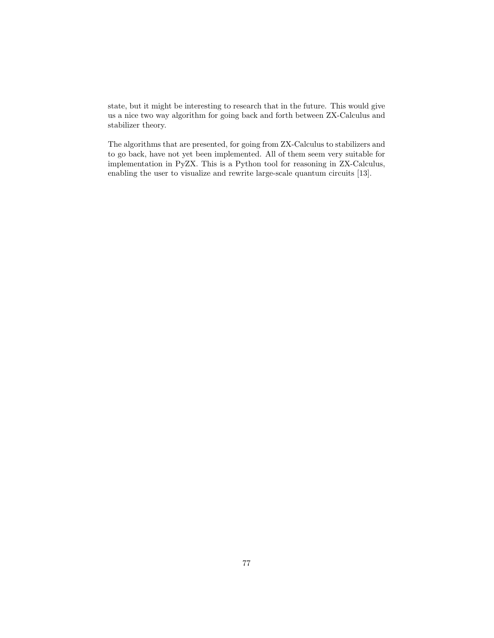state, but it might be interesting to research that in the future. This would give us a nice two way algorithm for going back and forth between ZX-Calculus and stabilizer theory.

The algorithms that are presented, for going from ZX-Calculus to stabilizers and to go back, have not yet been implemented. All of them seem very suitable for implementation in PyZX. This is a Python tool for reasoning in ZX-Calculus, enabling the user to visualize and rewrite large-scale quantum circuits [13].